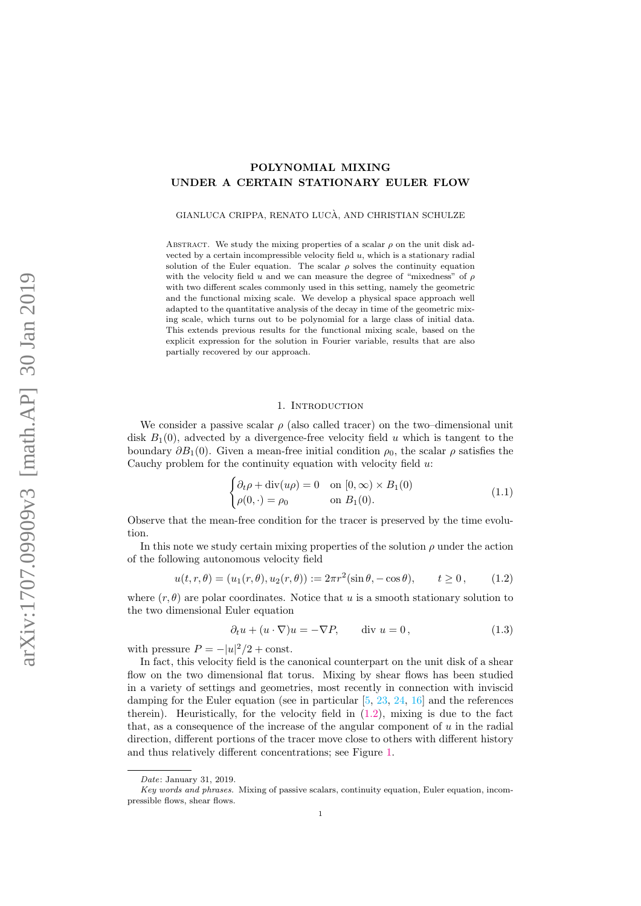# POLYNOMIAL MIXING UNDER A CERTAIN STATIONARY EULER FLOW

GIANLUCA CRIPPA, RENATO LUCA, AND CHRISTIAN SCHULZE `

ABSTRACT. We study the mixing properties of a scalar  $\rho$  on the unit disk advected by a certain incompressible velocity field  $u$ , which is a stationary radial solution of the Euler equation. The scalar  $\rho$  solves the continuity equation with the velocity field u and we can measure the degree of "mixedness" of  $\rho$ with two different scales commonly used in this setting, namely the geometric and the functional mixing scale. We develop a physical space approach well adapted to the quantitative analysis of the decay in time of the geometric mixing scale, which turns out to be polynomial for a large class of initial data. This extends previous results for the functional mixing scale, based on the explicit expression for the solution in Fourier variable, results that are also partially recovered by our approach.

## 1. INTRODUCTION

We consider a passive scalar  $\rho$  (also called tracer) on the two–dimensional unit disk  $B_1(0)$ , advected by a divergence-free velocity field u which is tangent to the boundary  $\partial B_1(0)$ . Given a mean-free initial condition  $\rho_0$ , the scalar  $\rho$  satisfies the Cauchy problem for the continuity equation with velocity field  $u$ :

<span id="page-0-1"></span>
$$
\begin{cases} \partial_t \rho + \operatorname{div}(u\rho) = 0 & \text{on } [0, \infty) \times B_1(0) \\ \rho(0, \cdot) = \rho_0 & \text{on } B_1(0). \end{cases}
$$
 (1.1)

Observe that the mean-free condition for the tracer is preserved by the time evolution.

In this note we study certain mixing properties of the solution  $\rho$  under the action of the following autonomous velocity field

<span id="page-0-0"></span>
$$
u(t, r, \theta) = (u_1(r, \theta), u_2(r, \theta)) := 2\pi r^2 (\sin \theta, -\cos \theta), \qquad t \ge 0, \qquad (1.2)
$$

where  $(r, \theta)$  are polar coordinates. Notice that u is a smooth stationary solution to the two dimensional Euler equation

<span id="page-0-2"></span>
$$
\partial_t u + (u \cdot \nabla)u = -\nabla P, \qquad \text{div } u = 0,
$$
\n(1.3)

with pressure  $P = -|u|^2/2 + \text{const.}$ 

In fact, this velocity field is the canonical counterpart on the unit disk of a shear flow on the two dimensional flat torus. Mixing by shear flows has been studied in a variety of settings and geometries, most recently in connection with inviscid damping for the Euler equation (see in particular  $[5, 23, 24, 16]$  $[5, 23, 24, 16]$  $[5, 23, 24, 16]$  $[5, 23, 24, 16]$  $[5, 23, 24, 16]$  $[5, 23, 24, 16]$  $[5, 23, 24, 16]$  and the references therein). Heuristically, for the velocity field in  $(1.2)$ , mixing is due to the fact that, as a consequence of the increase of the angular component of  $u$  in the radial direction, different portions of the tracer move close to others with different history and thus relatively different concentrations; see Figure [1.](#page-1-0)

Date: January 31, 2019.

Key words and phrases. Mixing of passive scalars, continuity equation, Euler equation, incompressible flows, shear flows.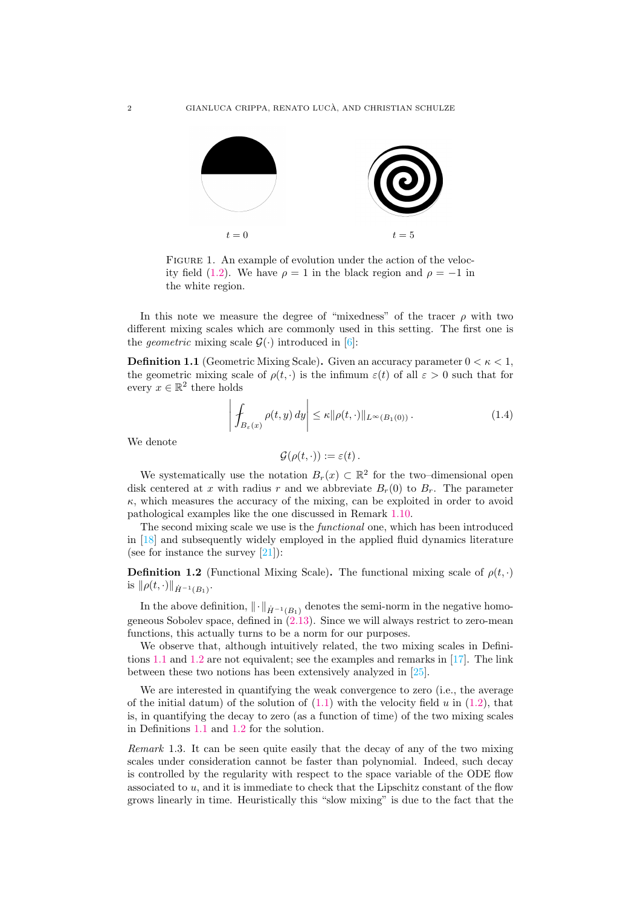

<span id="page-1-0"></span>FIGURE 1. An example of evolution under the action of the veloc-ity field [\(1.2\)](#page-0-0). We have  $\rho = 1$  in the black region and  $\rho = -1$  in the white region.

In this note we measure the degree of "mixedness" of the tracer  $\rho$  with two different mixing scales which are commonly used in this setting. The first one is the *geometric* mixing scale  $\mathcal{G}(\cdot)$  introduced in [\[6\]](#page-22-1):

<span id="page-1-1"></span>**Definition 1.1** (Geometric Mixing Scale). Given an accuracy parameter  $0 < \kappa < 1$ , the geometric mixing scale of  $\rho(t, \cdot)$  is the infimum  $\varepsilon(t)$  of all  $\varepsilon > 0$  such that for every  $x \in \mathbb{R}^2$  there holds

$$
\left| \int_{B_{\varepsilon}(x)} \rho(t, y) \, dy \right| \leq \kappa \| \rho(t, \cdot) \|_{L^{\infty}(B_1(0))} . \tag{1.4}
$$

We denote

$$
\mathcal{G}(\rho(t,\cdot)):=\varepsilon(t).
$$

We systematically use the notation  $B_r(x) \subset \mathbb{R}^2$  for the two–dimensional open disk centered at x with radius r and we abbreviate  $B_r(0)$  to  $B_r$ . The parameter  $\kappa$ , which measures the accuracy of the mixing, can be exploited in order to avoid pathological examples like the one discussed in Remark [1.10.](#page-4-0)

The second mixing scale we use is the *functional* one, which has been introduced in [\[18\]](#page-23-3) and subsequently widely employed in the applied fluid dynamics literature (see for instance the survey  $[21]$ ):

<span id="page-1-2"></span>**Definition 1.2** (Functional Mixing Scale). The functional mixing scale of  $\rho(t, \cdot)$ is  $\|\rho(t, \cdot)\|_{\dot{H}^{-1}(B_1)}$ .

In the above definition,  $\|\cdot\|_{\dot{H}^{-1}(B_1)}$  denotes the semi-norm in the negative homogeneous Sobolev space, defined in  $(2.13)$ . Since we will always restrict to zero-mean functions, this actually turns to be a norm for our purposes.

We observe that, although intuitively related, the two mixing scales in Definitions [1.1](#page-1-1) and [1.2](#page-1-2) are not equivalent; see the examples and remarks in [\[17\]](#page-23-5). The link between these two notions has been extensively analyzed in [\[25\]](#page-23-6).

We are interested in quantifying the weak convergence to zero (i.e., the average of the initial datum) of the solution of  $(1.1)$  with the velocity field u in  $(1.2)$ , that is, in quantifying the decay to zero (as a function of time) of the two mixing scales in Definitions [1.1](#page-1-1) and [1.2](#page-1-2) for the solution.

<span id="page-1-3"></span>Remark 1.3. It can be seen quite easily that the decay of any of the two mixing scales under consideration cannot be faster than polynomial. Indeed, such decay is controlled by the regularity with respect to the space variable of the ODE flow associated to u, and it is immediate to check that the Lipschitz constant of the flow grows linearly in time. Heuristically this "slow mixing" is due to the fact that the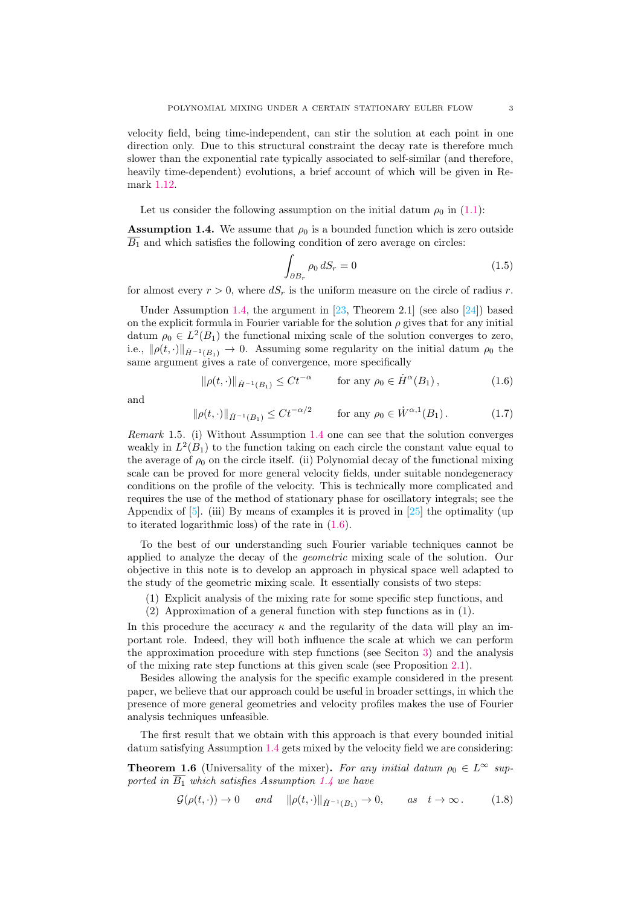velocity field, being time-independent, can stir the solution at each point in one direction only. Due to this structural constraint the decay rate is therefore much slower than the exponential rate typically associated to self-similar (and therefore, heavily time-dependent) evolutions, a brief account of which will be given in Remark [1.12.](#page-4-1)

Let us consider the following assumption on the initial datum  $\rho_0$  in [\(1.1\)](#page-0-1):

<span id="page-2-0"></span>**Assumption 1.4.** We assume that  $\rho_0$  is a bounded function which is zero outside  $\overline{B_1}$  and which satisfies the following condition of zero average on circles:

$$
\int_{\partial B_r} \rho_0 \, dS_r = 0 \tag{1.5}
$$

for almost every  $r > 0$ , where  $dS_r$  is the uniform measure on the circle of radius r.

Under Assumption [1.4,](#page-2-0) the argument in  $[23,$  Theorem 2.1 (see also  $[24]$ ) based on the explicit formula in Fourier variable for the solution  $\rho$  gives that for any initial datum  $\rho_0 \in L^2(B_1)$  the functional mixing scale of the solution converges to zero, i.e.,  $\|\rho(t, \cdot)\|_{\dot{H}^{-1}(B_1)} \to 0$ . Assuming some regularity on the initial datum  $\rho_0$  the same argument gives a rate of convergence, more specifically

<span id="page-2-1"></span>
$$
\|\rho(t,\cdot)\|_{\dot{H}^{-1}(B_1)} \leq C t^{-\alpha} \qquad \text{for any } \rho_0 \in \dot{H}^{\alpha}(B_1), \tag{1.6}
$$

and

<span id="page-2-3"></span>
$$
\|\rho(t,\cdot)\|_{\dot{H}^{-1}(B_1)} \le Ct^{-\alpha/2} \qquad \text{for any } \rho_0 \in \dot{W}^{\alpha,1}(B_1). \tag{1.7}
$$

Remark 1.5. (i) Without Assumption [1.4](#page-2-0) one can see that the solution converges weakly in  $L^2(B_1)$  to the function taking on each circle the constant value equal to the average of  $\rho_0$  on the circle itself. (ii) Polynomial decay of the functional mixing scale can be proved for more general velocity fields, under suitable nondegeneracy conditions on the profile of the velocity. This is technically more complicated and requires the use of the method of stationary phase for oscillatory integrals; see the Appendix of  $[5]$ . (iii) By means of examples it is proved in  $[25]$  the optimality (up to iterated logarithmic loss) of the rate in [\(1.6\)](#page-2-1).

To the best of our understanding such Fourier variable techniques cannot be applied to analyze the decay of the geometric mixing scale of the solution. Our objective in this note is to develop an approach in physical space well adapted to the study of the geometric mixing scale. It essentially consists of two steps:

- (1) Explicit analysis of the mixing rate for some specific step functions, and
- (2) Approximation of a general function with step functions as in (1).

In this procedure the accuracy  $\kappa$  and the regularity of the data will play an important role. Indeed, they will both influence the scale at which we can perform the approximation procedure with step functions (see Seciton [3\)](#page-13-0) and the analysis of the mixing rate step functions at this given scale (see Proposition [2.1\)](#page-6-0).

Besides allowing the analysis for the specific example considered in the present paper, we believe that our approach could be useful in broader settings, in which the presence of more general geometries and velocity profiles makes the use of Fourier analysis techniques unfeasible.

The first result that we obtain with this approach is that every bounded initial datum satisfying Assumption [1.4](#page-2-0) gets mixed by the velocity field we are considering:

<span id="page-2-2"></span>**Theorem 1.6** (Universality of the mixer). For any initial datum  $\rho_0 \in L^{\infty}$  supported in  $\overline{B_1}$  which satisfies Assumption [1.4](#page-2-0) we have

$$
\mathcal{G}(\rho(t,\cdot)) \to 0 \quad \text{and} \quad \|\rho(t,\cdot)\|_{\dot{H}^{-1}(B_1)} \to 0, \quad \text{as} \quad t \to \infty. \tag{1.8}
$$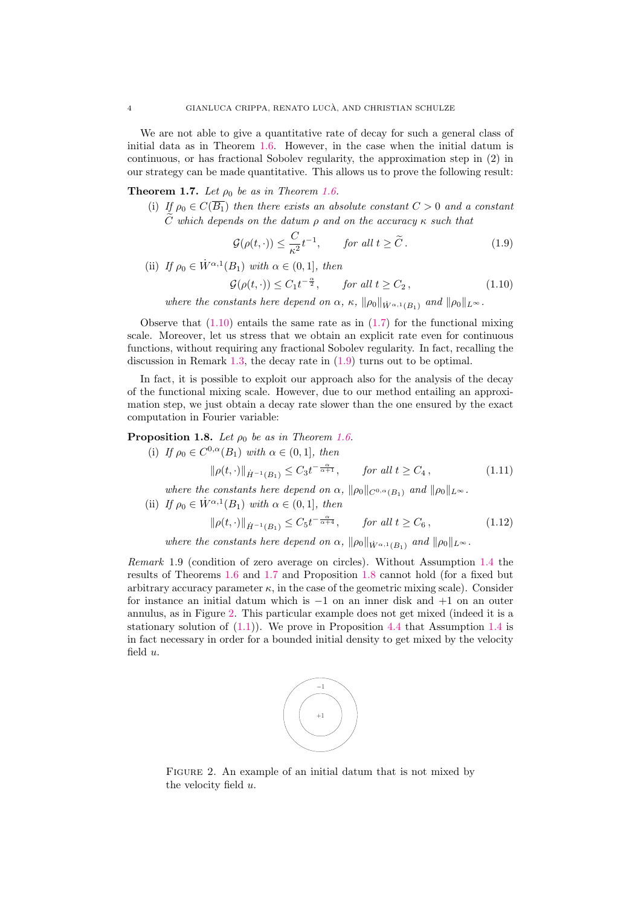We are not able to give a quantitative rate of decay for such a general class of initial data as in Theorem [1.6.](#page-2-2) However, in the case when the initial datum is continuous, or has fractional Sobolev regularity, the approximation step in (2) in our strategy can be made quantitative. This allows us to prove the following result:

<span id="page-3-2"></span>**Theorem 1.7.** Let  $\rho_0$  be as in Theorem [1.6.](#page-2-2)

(i) If  $\rho_0 \in C(\overline{B_1})$  then there exists an absolute constant  $C > 0$  and a constant  $\tilde{C}$  which depends on the datum  $\rho$  and on the accuracy  $\kappa$  such that

<span id="page-3-1"></span>
$$
\mathcal{G}(\rho(t,\cdot)) \le \frac{C}{\kappa^2} t^{-1}, \qquad \text{for all } t \ge \tilde{C} \,. \tag{1.9}
$$

(ii) If  $\rho_0 \in \dot{W}^{\alpha,1}(B_1)$  with  $\alpha \in (0,1]$ , then

<span id="page-3-0"></span>
$$
\mathcal{G}(\rho(t,\cdot)) \le C_1 t^{-\frac{\alpha}{2}}, \quad \text{for all } t \ge C_2,
$$
\n
$$
(1.10)
$$

where the constants here depend on  $\alpha$ ,  $\kappa$ ,  $\|\rho_0\|_{\dot{W}^{\alpha,1}(B_1)}$  and  $\|\rho_0\|_{L^{\infty}}$ .

Observe that  $(1.10)$  entails the same rate as in  $(1.7)$  for the functional mixing scale. Moreover, let us stress that we obtain an explicit rate even for continuous functions, without requiring any fractional Sobolev regularity. In fact, recalling the discussion in Remark [1.3,](#page-1-3) the decay rate in [\(1.9\)](#page-3-1) turns out to be optimal.

In fact, it is possible to exploit our approach also for the analysis of the decay of the functional mixing scale. However, due to our method entailing an approximation step, we just obtain a decay rate slower than the one ensured by the exact computation in Fourier variable:

<span id="page-3-3"></span>**Proposition 1.8.** Let  $\rho_0$  be as in Theorem [1.6.](#page-2-2)

- (i) If  $\rho_0 \in C^{0,\alpha}(B_1)$  with  $\alpha \in (0,1]$ , then  $\|\rho(t, \cdot)\|_{\dot{H}^{-1}(B_1)} \leq C_3 t^{-\frac{\alpha}{\alpha+1}}, \quad \text{for all } t \geq C_4,$  (1.11)
- where the constants here depend on  $\alpha$ ,  $\|\rho_0\|_{C^{0,\alpha}(B_1)}$  and  $\|\rho_0\|_{L^{\infty}}$ .
- (ii) If  $\rho_0 \in \dot{W}^{\alpha,1}(B_1)$  with  $\alpha \in (0,1]$ , then

<span id="page-3-6"></span><span id="page-3-5"></span>
$$
\|\rho(t,\cdot)\|_{\dot{H}^{-1}(B_1)} \le C_5 t^{-\frac{\alpha}{\alpha+4}}, \qquad \text{for all } t \ge C_6,
$$
\n(1.12)

where the constants here depend on  $\alpha$ ,  $\|\rho_0\|_{\dot{W}^{\alpha,1}(B_1)}$  and  $\|\rho_0\|_{L^{\infty}}$ .

Remark 1.9 (condition of zero average on circles). Without Assumption [1.4](#page-2-0) the results of Theorems [1.6](#page-2-2) and [1.7](#page-3-2) and Proposition [1.8](#page-3-3) cannot hold (for a fixed but arbitrary accuracy parameter  $\kappa$ , in the case of the geometric mixing scale). Consider for instance an initial datum which is −1 on an inner disk and +1 on an outer annulus, as in Figure [2.](#page-3-4) This particular example does not get mixed (indeed it is a stationary solution of  $(1.1)$ . We prove in Proposition [4.4](#page-21-0) that Assumption [1.4](#page-2-0) is in fact necessary in order for a bounded initial density to get mixed by the velocity field u.



<span id="page-3-4"></span>FIGURE 2. An example of an initial datum that is not mixed by the velocity field u.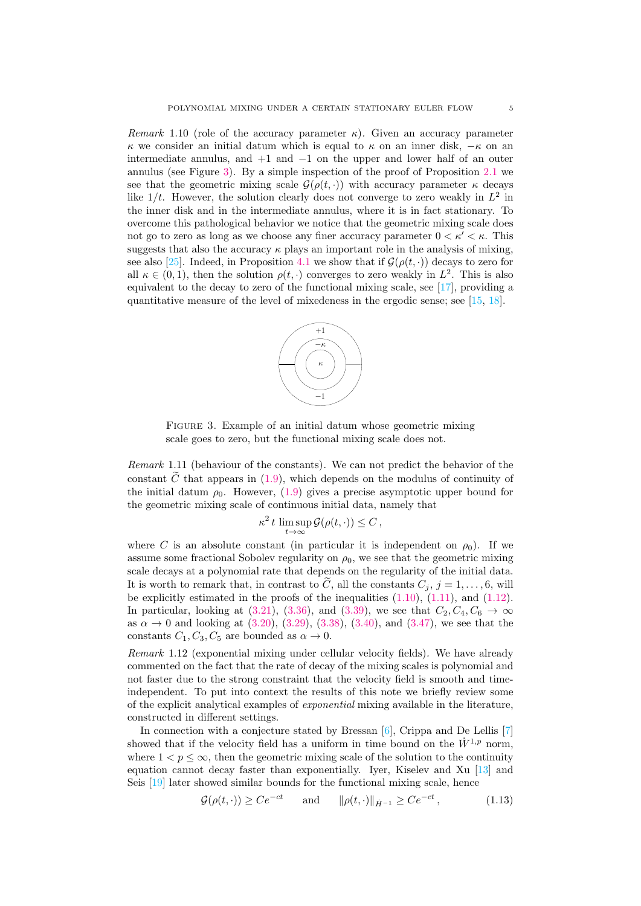<span id="page-4-0"></span>Remark 1.10 (role of the accuracy parameter  $\kappa$ ). Given an accuracy parameter κ we consider an initial datum which is equal to κ on an inner disk, −κ on an intermediate annulus, and  $+1$  and  $-1$  on the upper and lower half of an outer annulus (see Figure [3\)](#page-4-2). By a simple inspection of the proof of Proposition [2.1](#page-6-0) we see that the geometric mixing scale  $\mathcal{G}(\rho(t, \cdot))$  with accuracy parameter  $\kappa$  decays like  $1/t$ . However, the solution clearly does not converge to zero weakly in  $L^2$  in the inner disk and in the intermediate annulus, where it is in fact stationary. To overcome this pathological behavior we notice that the geometric mixing scale does not go to zero as long as we choose any finer accuracy parameter  $0 < \kappa' < \kappa$ . This suggests that also the accuracy  $\kappa$  plays an important role in the analysis of mixing, see also [\[25\]](#page-23-6). Indeed, in Proposition [4.1](#page-19-0) we show that if  $\mathcal{G}(\rho(t, \cdot))$  decays to zero for all  $\kappa \in (0,1)$ , then the solution  $\rho(t, \cdot)$  converges to zero weakly in  $L^2$ . This is also equivalent to the decay to zero of the functional mixing scale, see [\[17\]](#page-23-5), providing a quantitative measure of the level of mixedeness in the ergodic sense; see [\[15,](#page-23-7) [18\]](#page-23-3).



<span id="page-4-2"></span>FIGURE 3. Example of an initial datum whose geometric mixing scale goes to zero, but the functional mixing scale does not.

Remark 1.11 (behaviour of the constants). We can not predict the behavior of the constant  $\tilde{C}$  that appears in [\(1.9\)](#page-3-1), which depends on the modulus of continuity of the initial datum  $\rho_0$ . However, [\(1.9\)](#page-3-1) gives a precise asymptotic upper bound for the geometric mixing scale of continuous initial data, namely that

$$
\kappa^2 t \limsup_{t \to \infty} \mathcal{G}(\rho(t, \cdot)) \leq C,
$$

where C is an absolute constant (in particular it is independent on  $\rho_0$ ). If we assume some fractional Sobolev regularity on  $\rho_0$ , we see that the geometric mixing scale decays at a polynomial rate that depends on the regularity of the initial data. It is worth to remark that, in contrast to  $\widetilde{C}$ , all the constants  $C_j$ ,  $j = 1, \ldots, 6$ , will be explicitly estimated in the proofs of the inequalities  $(1.10)$ ,  $(1.11)$ , and  $(1.12)$ . In particular, looking at [\(3.21\)](#page-16-0), [\(3.36\)](#page-18-0), and [\(3.39\)](#page-18-1), we see that  $C_2, C_4, C_6 \rightarrow \infty$ as  $\alpha \to 0$  and looking at [\(3.20\)](#page-16-1), [\(3.29\)](#page-17-0), [\(3.38\)](#page-18-2), [\(3.40\)](#page-19-1), and [\(3.47\)](#page-19-2), we see that the constants  $C_1, C_3, C_5$  are bounded as  $\alpha \to 0$ .

<span id="page-4-1"></span>Remark 1.12 (exponential mixing under cellular velocity fields). We have already commented on the fact that the rate of decay of the mixing scales is polynomial and not faster due to the strong constraint that the velocity field is smooth and timeindependent. To put into context the results of this note we briefly review some of the explicit analytical examples of exponential mixing available in the literature, constructed in different settings.

In connection with a conjecture stated by Bressan  $[6]$ , Crippa and De Lellis  $[7]$ showed that if the velocity field has a uniform in time bound on the  $\dot{W}^{1,p}$  norm, where  $1 < p \leq \infty$ , then the geometric mixing scale of the solution to the continuity equation cannot decay faster than exponentially. Iyer, Kiselev and Xu [\[13\]](#page-22-3) and Seis [\[19\]](#page-23-8) later showed similar bounds for the functional mixing scale, hence

<span id="page-4-3"></span>
$$
\mathcal{G}(\rho(t,\cdot)) \ge Ce^{-ct} \quad \text{and} \quad \|\rho(t,\cdot)\|_{\dot{H}^{-1}} \ge Ce^{-ct}, \tag{1.13}
$$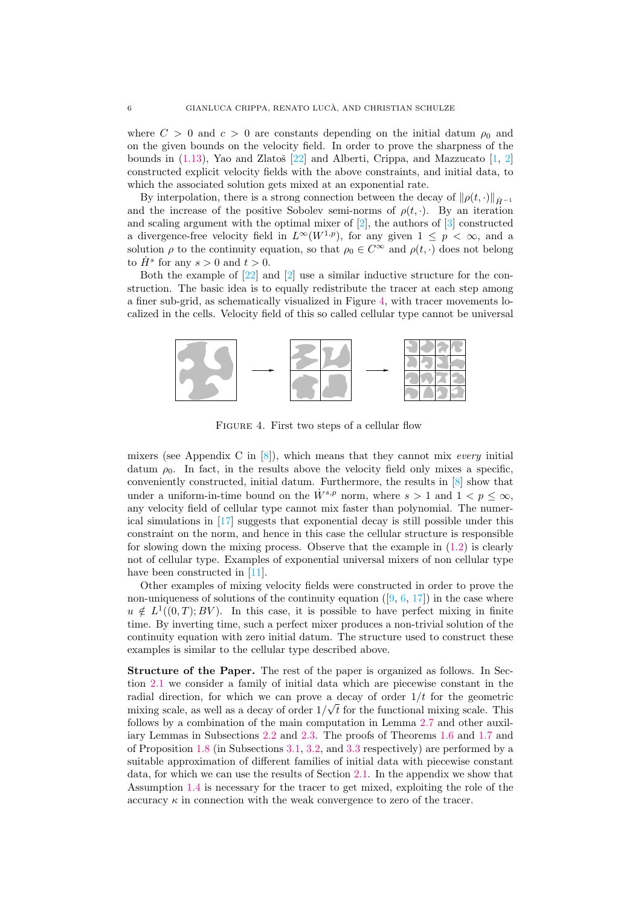where  $C > 0$  and  $c > 0$  are constants depending on the initial datum  $\rho_0$  and on the given bounds on the velocity field. In order to prove the sharpness of the bounds in  $(1.13)$ , Yao and Zlatoš  $[22]$  and Alberti, Crippa, and Mazzucato  $[1, 2]$  $[1, 2]$  $[1, 2]$ constructed explicit velocity fields with the above constraints, and initial data, to which the associated solution gets mixed at an exponential rate.

By interpolation, there is a strong connection between the decay of  $\|\rho(t, \cdot)\|_{\dot{H}-1}$ and the increase of the positive Sobolev semi-norms of  $\rho(t, \cdot)$ . By an iteration and scaling argument with the optimal mixer of  $[2]$ , the authors of  $[3]$  constructed a divergence-free velocity field in  $L^{\infty}(W^{1,p})$ , for any given  $1 \leq p < \infty$ , and a solution  $\rho$  to the continuity equation, so that  $\rho_0 \in C^{\infty}$  and  $\rho(t, \cdot)$  does not belong to  $\dot{H}^s$  for any  $s > 0$  and  $t > 0$ .

Both the example of [\[22\]](#page-23-9) and [\[2\]](#page-22-5) use a similar inductive structure for the construction. The basic idea is to equally redistribute the tracer at each step among a finer sub-grid, as schematically visualized in Figure [4,](#page-5-0) with tracer movements localized in the cells. Velocity field of this so called cellular type cannot be universal



<span id="page-5-0"></span>FIGURE 4. First two steps of a cellular flow

mixers (see Appendix C in  $[8]$ ), which means that they cannot mix *every* initial datum  $\rho_0$ . In fact, in the results above the velocity field only mixes a specific, conveniently constructed, initial datum. Furthermore, the results in [\[8\]](#page-22-7) show that under a uniform-in-time bound on the  $W^{s,p}$  norm, where  $s > 1$  and  $1 < p \leq \infty$ . any velocity field of cellular type cannot mix faster than polynomial. The numerical simulations in [\[17\]](#page-23-5) suggests that exponential decay is still possible under this constraint on the norm, and hence in this case the cellular structure is responsible for slowing down the mixing process. Observe that the example in  $(1.2)$  is clearly not of cellular type. Examples of exponential universal mixers of non cellular type have been constructed in [\[11\]](#page-22-8).

Other examples of mixing velocity fields were constructed in order to prove the non-uniqueness of solutions of the continuity equation  $([9, 6, 17])$  $([9, 6, 17])$  $([9, 6, 17])$  $([9, 6, 17])$  $([9, 6, 17])$  $([9, 6, 17])$  $([9, 6, 17])$  in the case where  $u \notin L^1((0,T);BV)$ . In this case, it is possible to have perfect mixing in finite time. By inverting time, such a perfect mixer produces a non-trivial solution of the continuity equation with zero initial datum. The structure used to construct these examples is similar to the cellular type described above.

Structure of the Paper. The rest of the paper is organized as follows. In Section [2.1](#page-6-1) we consider a family of initial data which are piecewise constant in the radial direction, for which we can prove a decay of order  $1/t$  for the geometric mixing scale, as well as a decay of order  $1/\sqrt{t}$  for the functional mixing scale. This follows by a combination of the main computation in Lemma [2.7](#page-9-0) and other auxiliary Lemmas in Subsections [2.2](#page-6-2) and [2.3.](#page-13-1) The proofs of Theorems [1.6](#page-2-2) and [1.7](#page-3-2) and of Proposition [1.8](#page-3-3) (in Subsections [3.1,](#page-14-0) [3.2,](#page-15-0) and [3.3](#page-17-1) respectively) are performed by a suitable approximation of different families of initial data with piecewise constant data, for which we can use the results of Section [2.1.](#page-6-1) In the appendix we show that Assumption [1.4](#page-2-0) is necessary for the tracer to get mixed, exploiting the role of the accuracy  $\kappa$  in connection with the weak convergence to zero of the tracer.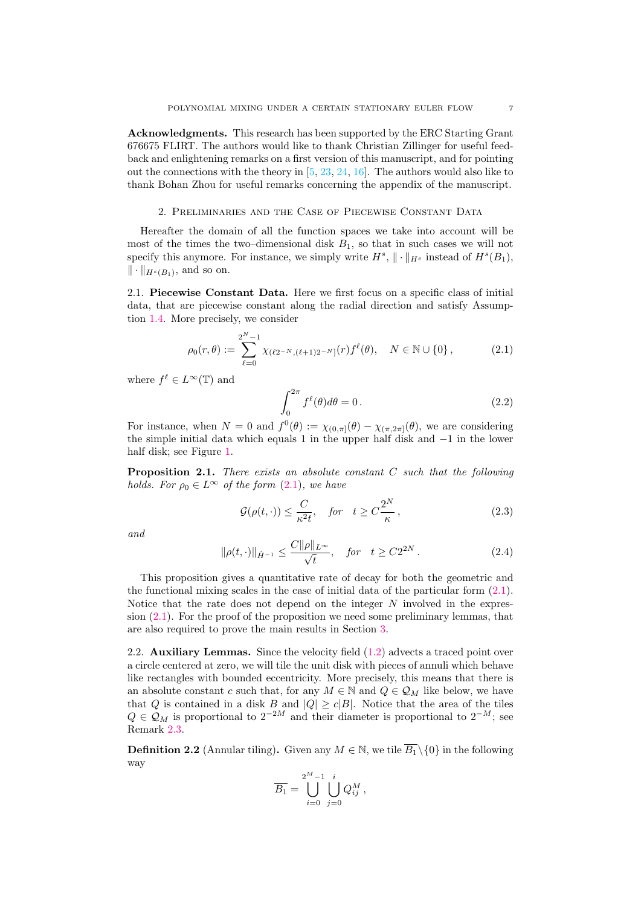Acknowledgments. This research has been supported by the ERC Starting Grant 676675 FLIRT. The authors would like to thank Christian Zillinger for useful feedback and enlightening remarks on a first version of this manuscript, and for pointing out the connections with the theory in  $[5, 23, 24, 16]$  $[5, 23, 24, 16]$  $[5, 23, 24, 16]$  $[5, 23, 24, 16]$  $[5, 23, 24, 16]$  $[5, 23, 24, 16]$  $[5, 23, 24, 16]$ . The authors would also like to thank Bohan Zhou for useful remarks concerning the appendix of the manuscript.

### 2. Preliminaries and the Case of Piecewise Constant Data

Hereafter the domain of all the function spaces we take into account will be most of the times the two–dimensional disk  $B_1$ , so that in such cases we will not specify this anymore. For instance, we simply write  $H^s$ ,  $\|\cdot\|_{H^s}$  instead of  $H^s(B_1)$ ,  $\|\cdot\|_{H^s(B_1)}$ , and so on.

<span id="page-6-1"></span>2.1. Piecewise Constant Data. Here we first focus on a specific class of initial data, that are piecewise constant along the radial direction and satisfy Assumption [1.4.](#page-2-0) More precisely, we consider

<span id="page-6-3"></span>
$$
\rho_0(r,\theta) := \sum_{\ell=0}^{2^N-1} \chi_{(\ell 2^{-N}, (\ell+1)2^{-N}]}(r) f^{\ell}(\theta), \quad N \in \mathbb{N} \cup \{0\},
$$
 (2.1)

where  $f^{\ell} \in L^{\infty}(\mathbb{T})$  and

<span id="page-6-6"></span>
$$
\int_0^{2\pi} f^{\ell}(\theta) d\theta = 0.
$$
 (2.2)

For instance, when  $N = 0$  and  $f^0(\theta) := \chi_{(0,\pi]}(\theta) - \chi_{(\pi,2\pi]}(\theta)$ , we are considering the simple initial data which equals 1 in the upper half disk and −1 in the lower half disk; see Figure [1.](#page-0-2)

<span id="page-6-0"></span>**Proposition 2.1.** There exists an absolute constant  $C$  such that the following holds. For  $\rho_0 \in L^{\infty}$  of the form  $(2.1)$ , we have

<span id="page-6-4"></span>
$$
\mathcal{G}(\rho(t,\cdot)) \le \frac{C}{\kappa^2 t}, \quad \text{for} \quad t \ge C\frac{2^N}{\kappa}, \tag{2.3}
$$

and

<span id="page-6-5"></span>
$$
\|\rho(t,\cdot)\|_{\dot{H}^{-1}} \le \frac{C\|\rho\|_{L^{\infty}}}{\sqrt{t}}, \quad \text{for} \quad t \ge C2^{2N}.
$$
 (2.4)

This proposition gives a quantitative rate of decay for both the geometric and the functional mixing scales in the case of initial data of the particular form  $(2.1)$ . Notice that the rate does not depend on the integer N involved in the expression [\(2.1\)](#page-6-3). For the proof of the proposition we need some preliminary lemmas, that are also required to prove the main results in Section [3.](#page-13-0)

<span id="page-6-2"></span>2.2. Auxiliary Lemmas. Since the velocity field [\(1.2\)](#page-0-0) advects a traced point over a circle centered at zero, we will tile the unit disk with pieces of annuli which behave like rectangles with bounded eccentricity. More precisely, this means that there is an absolute constant c such that, for any  $M \in \mathbb{N}$  and  $Q \in \mathcal{Q}_M$  like below, we have that Q is contained in a disk B and  $|Q| \ge c|B|$ . Notice that the area of the tiles  $Q \in \mathcal{Q}_M$  is proportional to  $2^{-2M}$  and their diameter is proportional to  $2^{-M}$ ; see Remark [2.3.](#page-7-0)

**Definition 2.2** (Annular tiling). Given any  $M \in \mathbb{N}$ , we tile  $\overline{B_1} \setminus \{0\}$  in the following way

$$
\overline{B_1} = \bigcup_{i=0}^{2^M-1} \bigcup_{j=0}^i Q_{ij}^M,
$$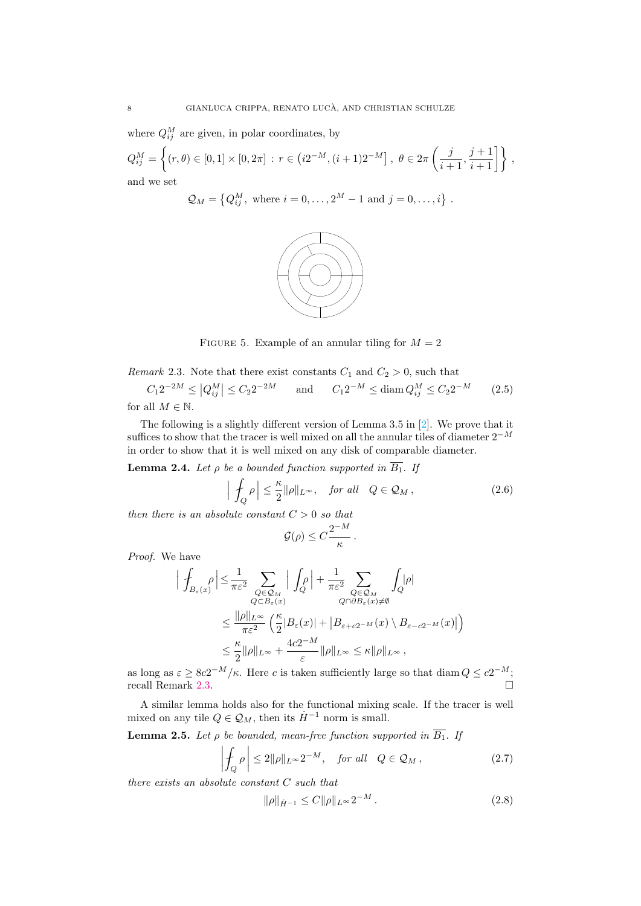where  $Q_{ij}^M$  are given, in polar coordinates, by

$$
Q_{ij}^M = \left\{ (r, \theta) \in [0, 1] \times [0, 2\pi] : r \in (i2^{-M}, (i+1)2^{-M}], \ \theta \in 2\pi \left( \frac{j}{i+1}, \frac{j+1}{i+1} \right] \right\},\
$$
 and we set

$$
Q_M = \{Q_{ij}^M, \text{ where } i = 0, ..., 2^M - 1 \text{ and } j = 0, ..., i\}
$$

.



FIGURE 5. Example of an annular tiling for  $M = 2$ 

<span id="page-7-0"></span>Remark 2.3. Note that there exist constants  $C_1$  and  $C_2 > 0$ , such that  $C_1 2^{-2M} \le |Q_{ij}^M| \le C_2 2^{-2M}$  and  $C_1 2^{-M} \le \text{diam } Q_{ij}^M \le C_2 2$  $(2.5)$ 

for all  $M \in \mathbb{N}$ .

The following is a slightly different version of Lemma 3.5 in [\[2\]](#page-22-5). We prove that it suffices to show that the tracer is well mixed on all the annular tiles of diameter  $2^{-M}$ in order to show that it is well mixed on any disk of comparable diameter.

<span id="page-7-4"></span>**Lemma 2.4.** Let  $\rho$  be a bounded function supported in  $\overline{B_1}$ . If

$$
\left| \int_{Q} \rho \right| \leq \frac{\kappa}{2} ||\rho||_{L^{\infty}}, \quad \text{for all} \quad Q \in \mathcal{Q}_M , \tag{2.6}
$$

.

then there is an absolute constant  $C > 0$  so that

<span id="page-7-3"></span>
$$
\mathcal{G}(\rho)\leq C\frac{2^{-M}}{\kappa}
$$

Proof. We have

$$
\begin{split} \Big| \int_{B_{\varepsilon}(x)} & \rho \Big| \leq \frac{1}{\pi \varepsilon^2} \sum_{\substack{Q \in \mathcal{Q}_M \\ Q \subset B_{\varepsilon}(x)}} \Big| \int_Q \rho \Big| + \frac{1}{\pi \varepsilon^2} \sum_{\substack{Q \in \mathcal{Q}_M \\ Q \cap \partial B_{\varepsilon}(x) \neq \emptyset}} \int_Q |\rho| \\ & \leq \frac{\|\rho\|_{L^\infty}}{\pi \varepsilon^2} \left( \frac{\kappa}{2} |B_{\varepsilon}(x)| + \big| B_{\varepsilon + c2^{-M}}(x) \setminus B_{\varepsilon - c2^{-M}}(x) \big| \right) \\ & \leq \frac{\kappa}{2} \|\rho\|_{L^\infty} + \frac{4c2^{-M}}{\varepsilon} \|\rho\|_{L^\infty} \leq \kappa \|\rho\|_{L^\infty}, \end{split}
$$

as long as  $\varepsilon \geq 8c2^{-M}/\kappa$ . Here c is taken sufficiently large so that diam  $Q \leq c2^{-M}$ ; recall Remark [2.3.](#page-7-0)

A similar lemma holds also for the functional mixing scale. If the tracer is well mixed on any tile  $Q \in \mathcal{Q}_M$ , then its  $\dot{H}^{-1}$  norm is small.

<span id="page-7-1"></span>**Lemma 2.5.** Let  $\rho$  be bounded, mean-free function supported in  $\overline{B_1}$ . If

$$
\left| \oint_{Q} \rho \right| \le 2 \|\rho\|_{L^{\infty}} 2^{-M}, \quad \text{for all} \quad Q \in \mathcal{Q}_M , \tag{2.7}
$$

there exists an absolute constant C such that

<span id="page-7-2"></span>
$$
\|\rho\|_{\dot{H}^{-1}} \le C \|\rho\|_{L^\infty} 2^{-M} \,. \tag{2.8}
$$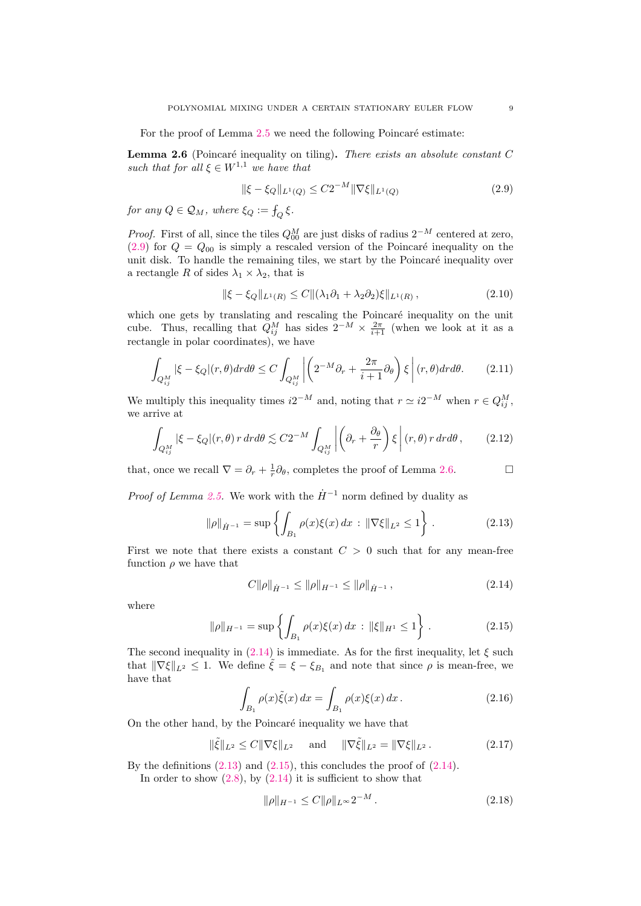For the proof of Lemma  $2.5$  we need the following Poincaré estimate:

<span id="page-8-2"></span>**Lemma 2.6** (Poincaré inequality on tiling). There exists an absolute constant  $C$ such that for all  $\xi \in W^{1,1}$  we have that

<span id="page-8-1"></span>
$$
\|\xi - \xi_Q\|_{L^1(Q)} \le C2^{-M} \|\nabla \xi\|_{L^1(Q)} \tag{2.9}
$$

for any  $Q \in \mathcal{Q}_M$ , where  $\xi_Q := \mathcal{f}_Q \, \xi$ .

*Proof.* First of all, since the tiles  $Q_{00}^M$  are just disks of radius  $2^{-M}$  centered at zero,  $(2.9)$  for  $Q = Q_{00}$  is simply a rescaled version of the Poincaré inequality on the unit disk. To handle the remaining tiles, we start by the Poincaré inequality over a rectangle R of sides  $\lambda_1 \times \lambda_2$ , that is

$$
\|\xi - \xi_Q\|_{L^1(R)} \le C \|\lambda_1 \partial_1 + \lambda_2 \partial_2\|_{L^1(R)},
$$
\n(2.10)

which one gets by translating and rescaling the Poincaré inequality on the unit cube. Thus, recalling that  $Q_{ij}^M$  has sides  $2^{-M} \times \frac{2\pi}{i+1}$  (when we look at it as a rectangle in polar coordinates), we have

$$
\int_{Q_{ij}^M} |\xi - \xi_Q|(r,\theta) dr d\theta \le C \int_{Q_{ij}^M} \left| \left( 2^{-M} \partial_r + \frac{2\pi}{i+1} \partial_\theta \right) \xi \right| (r,\theta) dr d\theta. \tag{2.11}
$$

We multiply this inequality times  $i2^{-M}$  and, noting that  $r \simeq i2^{-M}$  when  $r \in Q_{ij}^M$ , we arrive at

$$
\int_{Q_{ij}^M} |\xi - \xi_Q|(r,\theta) r dr d\theta \lesssim C2^{-M} \int_{Q_{ij}^M} \left| \left( \partial_r + \frac{\partial_\theta}{r} \right) \xi \right| (r,\theta) r dr d\theta, \qquad (2.12)
$$

that, once we recall  $\nabla = \partial_r + \frac{1}{r} \partial_\theta$ , completes the proof of Lemma [2.6.](#page-8-2)

*Proof of Lemma [2.5.](#page-7-1)* We work with the  $\dot{H}^{-1}$  norm defined by duality as

<span id="page-8-0"></span>
$$
\|\rho\|_{\dot{H}^{-1}} = \sup \left\{ \int_{B_1} \rho(x)\xi(x) \, dx \, : \, \|\nabla\xi\|_{L^2} \le 1 \right\} \,. \tag{2.13}
$$

First we note that there exists a constant  $C > 0$  such that for any mean-free function  $\rho$  we have that

<span id="page-8-3"></span>
$$
C\|\rho\|_{\dot{H}^{-1}} \le \|\rho\|_{H^{-1}} \le \|\rho\|_{\dot{H}^{-1}},\tag{2.14}
$$

where

<span id="page-8-4"></span>
$$
\|\rho\|_{H^{-1}} = \sup \left\{ \int_{B_1} \rho(x)\xi(x) \, dx \, : \, \|\xi\|_{H^1} \le 1 \right\} \,. \tag{2.15}
$$

The second inequality in [\(2.14\)](#page-8-3) is immediate. As for the first inequality, let  $\xi$  such that  $\|\nabla \xi\|_{L^2} \leq 1$ . We define  $\tilde{\xi} = \xi - \xi_{B_1}$  and note that since  $\rho$  is mean-free, we have that

$$
\int_{B_1} \rho(x)\tilde{\xi}(x) dx = \int_{B_1} \rho(x)\xi(x) dx.
$$
\n(2.16)

On the other hand, by the Poincaré inequality we have that

$$
\|\tilde{\xi}\|_{L^2} \le C \|\nabla \xi\|_{L^2} \quad \text{and} \quad \|\nabla \tilde{\xi}\|_{L^2} = \|\nabla \xi\|_{L^2}.
$$
 (2.17)

By the definitions  $(2.13)$  and  $(2.15)$ , this concludes the proof of  $(2.14)$ .

In order to show  $(2.8)$ , by  $(2.14)$  it is sufficient to show that

<span id="page-8-5"></span>
$$
\|\rho\|_{H^{-1}} \le C \|\rho\|_{L^\infty} 2^{-M} \,. \tag{2.18}
$$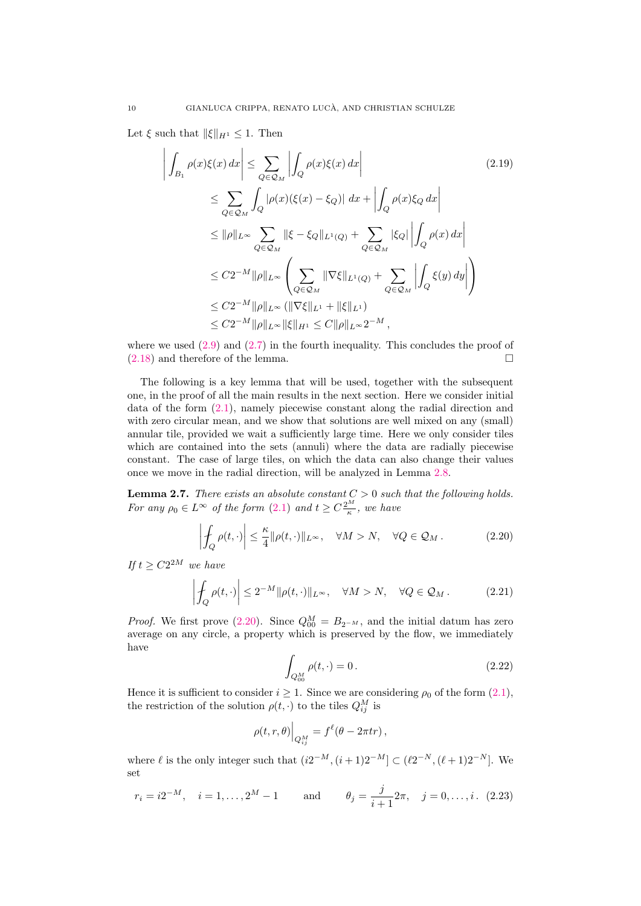Let  $\xi$  such that  $\|\xi\|_{H^1} \leq 1$ . Then

 $\overline{\phantom{a}}$  $\overline{\phantom{a}}$  $\overline{\phantom{a}}$  $\overline{\phantom{a}}$  $\overline{\phantom{a}}$ 

$$
\int_{B_1} \rho(x)\xi(x) dx \le \sum_{Q \in \mathcal{Q}_M} \left| \int_Q \rho(x)\xi(x) dx \right|
$$
\n
$$
\le \sum_{Q \in \mathcal{Q}_M} \int_Q |\rho(x)(\xi(x) - \xi_Q)| dx + \left| \int_Q \rho(x)\xi_Q dx \right|
$$
\n
$$
\le ||\rho||_{L^{\infty}} \sum_{Q \in \mathcal{Q}_M} ||\xi - \xi_Q||_{L^1(Q)} + \sum_{Q \in \mathcal{Q}_M} |\xi_Q| \left| \int_Q \rho(x) dx \right|
$$
\n
$$
\le C2^{-M} ||\rho||_{L^{\infty}} \left( \sum_{Q \in \mathcal{Q}_M} ||\nabla \xi||_{L^1(Q)} + \sum_{Q \in \mathcal{Q}_M} \left| \int_Q \xi(y) dy \right| \right)
$$
\n
$$
\le C2^{-M} ||\rho||_{L^{\infty}} (||\nabla \xi||_{L^1} + ||\xi||_{L^1})
$$
\n
$$
\le C2^{-M} ||\rho||_{L^{\infty}} ||\xi||_{H^1} \le C ||\rho||_{L^{\infty}} 2^{-M},
$$
\n(2.19)

where we used  $(2.9)$  and  $(2.7)$  in the fourth inequality. This concludes the proof of  $(2.18)$  and therefore of the lemma.

The following is a key lemma that will be used, together with the subsequent one, in the proof of all the main results in the next section. Here we consider initial data of the form [\(2.1\)](#page-6-3), namely piecewise constant along the radial direction and with zero circular mean, and we show that solutions are well mixed on any (small) annular tile, provided we wait a sufficiently large time. Here we only consider tiles which are contained into the sets (annuli) where the data are radially piecewise constant. The case of large tiles, on which the data can also change their values once we move in the radial direction, will be analyzed in Lemma [2.8.](#page-11-0)

<span id="page-9-0"></span>**Lemma 2.7.** There exists an absolute constant  $C > 0$  such that the following holds. For any  $\rho_0 \in L^{\infty}$  of the form  $(2.1)$  and  $t \ge C \frac{2^M}{\kappa}$ , we have

<span id="page-9-1"></span>
$$
\left| \oint_{Q} \rho(t, \cdot) \right| \leq \frac{\kappa}{4} ||\rho(t, \cdot)||_{L^{\infty}}, \quad \forall M > N, \quad \forall Q \in \mathcal{Q}_{M}.
$$
 (2.20)

If  $t \geq C2^{2M}$  we have

<span id="page-9-2"></span>
$$
\left| \oint_{Q} \rho(t, \cdot) \right| \le 2^{-M} \|\rho(t, \cdot)\|_{L^{\infty}}, \quad \forall M > N, \quad \forall Q \in \mathcal{Q}_{M}.
$$
 (2.21)

*Proof.* We first prove [\(2.20\)](#page-9-1). Since  $Q_{00}^M = B_{2^{-M}}$ , and the initial datum has zero average on any circle, a property which is preserved by the flow, we immediately have

$$
\int_{Q_{00}^M} \rho(t, \cdot) = 0.
$$
\n(2.22)

Hence it is sufficient to consider  $i \geq 1$ . Since we are considering  $\rho_0$  of the form  $(2.1)$ , the restriction of the solution  $\rho(t, \cdot)$  to the tiles  $Q_{ij}^M$  is

$$
\rho(t,r,\theta)\Big|_{Q_{ij}^M} = f^{\ell}(\theta - 2\pi tr),
$$

where  $\ell$  is the only integer such that  $(i2^{-M}, (i+1)2^{-M}] \subset (\ell 2^{-N}, (\ell+1)2^{-N}]$ . We set

$$
r_i = i2^{-M}, \quad i = 1, ..., 2^M - 1
$$
 and  $\theta_j = \frac{j}{i+1}2\pi, \quad j = 0, ..., i.$  (2.23)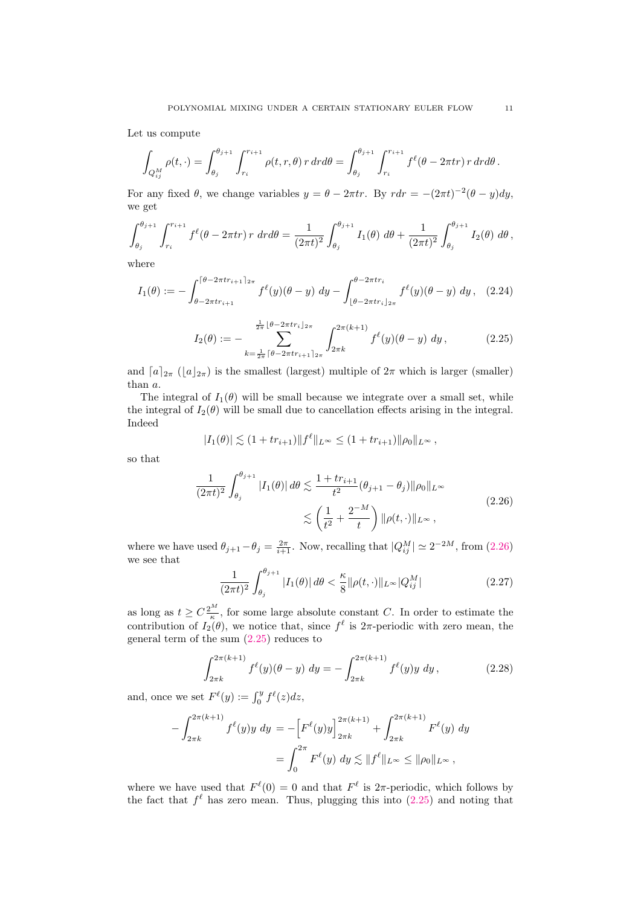Let us compute

<span id="page-10-3"></span>
$$
\int_{Q_{ij}^M} \rho(t,\cdot) = \int_{\theta_j}^{\theta_{j+1}} \int_{r_i}^{r_{i+1}} \rho(t,r,\theta) r dr d\theta = \int_{\theta_j}^{\theta_{j+1}} \int_{r_i}^{r_{i+1}} f^{\ell}(\theta - 2\pi tr) r dr d\theta.
$$

For any fixed  $\theta$ , we change variables  $y = \theta - 2\pi tr$ . By  $r dr = -(2\pi t)^{-2}(\theta - y)dy$ , we get

$$
\int_{\theta_j}^{\theta_{j+1}} \int_{r_i}^{r_{i+1}} f^{\ell}(\theta - 2\pi tr) \, r \, dr d\theta = \frac{1}{(2\pi t)^2} \int_{\theta_j}^{\theta_{j+1}} I_1(\theta) \, d\theta + \frac{1}{(2\pi t)^2} \int_{\theta_j}^{\theta_{j+1}} I_2(\theta) \, d\theta,
$$

where

$$
I_1(\theta) := -\int_{\theta - 2\pi t r_{i+1}}^{\lceil \theta - 2\pi t r_{i+1} \rceil_{2\pi}} f^{\ell}(y) (\theta - y) \, dy - \int_{\lfloor \theta - 2\pi t r_i \rfloor_{2\pi}}^{\theta - 2\pi t r_i} f^{\ell}(y) (\theta - y) \, dy \,, \tag{2.24}
$$

<span id="page-10-1"></span>
$$
I_2(\theta) := - \sum_{k=\frac{1}{2\pi} \lceil \theta - 2\pi tr_{i+1} \rceil 2\pi}^{\frac{1}{2\pi} \lceil \theta - 2\pi tr_{i+1} \rceil 2\pi} \int_{2\pi k}^{2\pi (k+1)} f^{\ell}(y) (\theta - y) \, dy \,, \tag{2.25}
$$

and  $[a]_{2\pi}$  ( $|a|_{2\pi}$ ) is the smallest (largest) multiple of  $2\pi$  which is larger (smaller) than a.

The integral of  $I_1(\theta)$  will be small because we integrate over a small set, while the integral of  $I_2(\theta)$  will be small due to cancellation effects arising in the integral. Indeed

$$
|I_1(\theta)| \lesssim (1 + tr_{i+1}) ||f^{\ell}||_{L^{\infty}} \leq (1 + tr_{i+1}) ||\rho_0||_{L^{\infty}},
$$

<span id="page-10-0"></span>so that

$$
\frac{1}{(2\pi t)^2} \int_{\theta_j}^{\theta_{j+1}} |I_1(\theta)| d\theta \lesssim \frac{1 + tr_{i+1}}{t^2} (\theta_{j+1} - \theta_j) ||\rho_0||_{L^\infty}
$$
\n
$$
\lesssim \left(\frac{1}{t^2} + \frac{2^{-M}}{t}\right) ||\rho(t, \cdot)||_{L^\infty},
$$
\n(2.26)

where we have used  $\theta_{j+1} - \theta_j = \frac{2\pi}{i+1}$ . Now, recalling that  $|Q_{ij}^M| \simeq 2^{-2M}$ , from  $(2.26)$ we see that

<span id="page-10-2"></span>
$$
\frac{1}{(2\pi t)^2} \int_{\theta_j}^{\theta_{j+1}} |I_1(\theta)| \, d\theta < \frac{\kappa}{8} \|\rho(t, \cdot)\|_{L^\infty} |Q_{ij}^M| \tag{2.27}
$$

as long as  $t \geq C \frac{2^M}{\kappa}$ , for some large absolute constant C. In order to estimate the contribution of  $I_2(\theta)$ , we notice that, since  $f^{\ell}$  is  $2\pi$ -periodic with zero mean, the general term of the sum [\(2.25\)](#page-10-1) reduces to

$$
\int_{2\pi k}^{2\pi (k+1)} f^{\ell}(y) (\theta - y) dy = - \int_{2\pi k}^{2\pi (k+1)} f^{\ell}(y) y dy, \qquad (2.28)
$$

and, once we set  $F^{\ell}(y) := \int_0^y f^{\ell}(z) dz$ ,

$$
-\int_{2\pi k}^{2\pi (k+1)} f^{\ell}(y)y \, dy = -\left[F^{\ell}(y)y\right]_{2\pi k}^{2\pi (k+1)} + \int_{2\pi k}^{2\pi (k+1)} F^{\ell}(y) \, dy
$$

$$
= \int_{0}^{2\pi} F^{\ell}(y) \, dy \lesssim ||f^{\ell}||_{L^{\infty}} \le ||\rho_0||_{L^{\infty}},
$$

where we have used that  $F^{\ell}(0) = 0$  and that  $F^{\ell}$  is  $2\pi$ -periodic, which follows by the fact that  $f^{\ell}$  has zero mean. Thus, plugging this into [\(2.25\)](#page-10-1) and noting that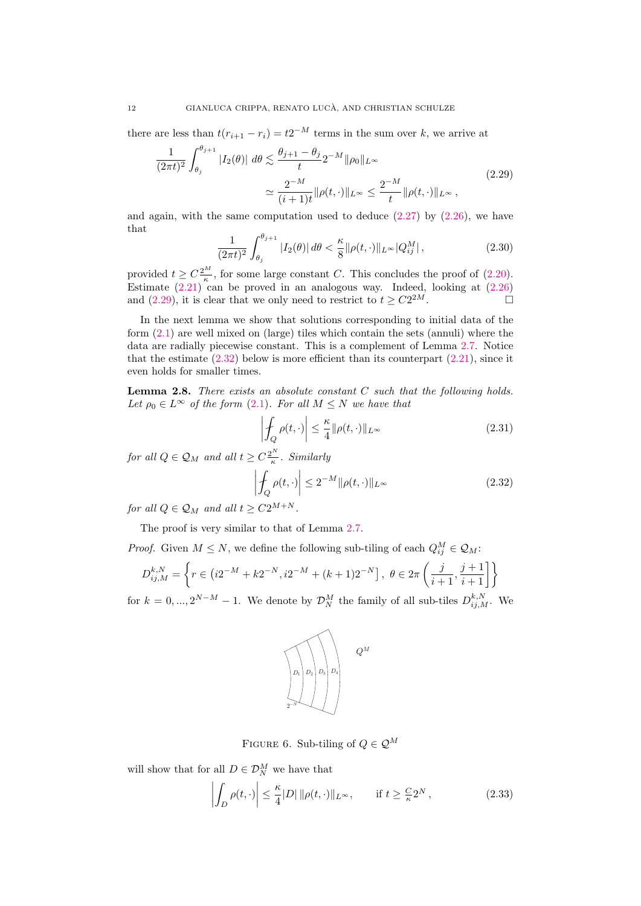there are less than  $t(r_{i+1} - r_i) = t2^{-M}$  terms in the sum over k, we arrive at

<span id="page-11-1"></span>
$$
\frac{1}{(2\pi t)^2} \int_{\theta_j}^{\theta_{j+1}} |I_2(\theta)| \, d\theta \lesssim \frac{\theta_{j+1} - \theta_j}{t} 2^{-M} \|\rho_0\|_{L^\infty}
$$
\n
$$
\simeq \frac{2^{-M}}{(i+1)t} \|\rho(t, \cdot)\|_{L^\infty} \le \frac{2^{-M}}{t} \|\rho(t, \cdot)\|_{L^\infty},
$$
\n(2.29)

and again, with the same computation used to deduce  $(2.27)$  by  $(2.26)$ , we have that

$$
\frac{1}{(2\pi t)^2} \int_{\theta_j}^{\theta_{j+1}} |I_2(\theta)| \, d\theta < \frac{\kappa}{8} \|\rho(t, \cdot)\|_{L^\infty} |Q_{ij}^M| \,,\tag{2.30}
$$

provided  $t \geq C \frac{2^M}{\kappa}$ , for some large constant C. This concludes the proof of [\(2.20\)](#page-9-1). Estimate  $(2.21)$  can be proved in an analogous way. Indeed, looking at  $(2.26)$ and [\(2.29\)](#page-11-1), it is clear that we only need to restrict to  $t \geq C2^{2M}$ .  $2M$ .

In the next lemma we show that solutions corresponding to initial data of the form [\(2.1\)](#page-6-3) are well mixed on (large) tiles which contain the sets (annuli) where the data are radially piecewise constant. This is a complement of Lemma [2.7.](#page-9-0) Notice that the estimate  $(2.32)$  below is more efficient than its counterpart  $(2.21)$ , since it even holds for smaller times.

<span id="page-11-0"></span>**Lemma 2.8.** There exists an absolute constant  $C$  such that the following holds. Let  $\rho_0 \in L^{\infty}$  of the form [\(2.1\)](#page-6-3). For all  $M \leq N$  we have that

$$
\left| \oint_{Q} \rho(t, \cdot) \right| \leq \frac{\kappa}{4} ||\rho(t, \cdot)||_{L^{\infty}}
$$
\n(2.31)

for all  $Q \in \mathcal{Q}_M$  and all  $t \geq C \frac{2^N}{\kappa}$  $rac{2^{n}}{\kappa}$ . Similarly

<span id="page-11-2"></span>
$$
\left| \oint_{Q} \rho(t, \cdot) \right| \le 2^{-M} \|\rho(t, \cdot)\|_{L^{\infty}}
$$
\n(2.32)

for all  $Q \in \mathcal{Q}_M$  and all  $t \geq C2^{M+N}$ .

The proof is very similar to that of Lemma [2.7.](#page-9-0)

*Proof.* Given  $M \leq N$ , we define the following sub-tiling of each  $Q_{ij}^M \in \mathcal{Q}_M$ :

$$
D_{ij,M}^{k,N} = \left\{ r \in (i2^{-M} + k2^{-N}, i2^{-M} + (k+1)2^{-N}), \ \theta \in 2\pi \left( \frac{j}{i+1}, \frac{j+1}{i+1} \right] \right\}
$$

for  $k = 0, ..., 2^{N-M} - 1$ . We denote by  $\mathcal{D}_{N}^{M}$  the family of all sub-tiles  $D_{ij,M}^{k,N}$ . We



FIGURE 6. Sub-tiling of  $Q \in \mathcal{Q}^M$ 

will show that for all  $D \in \mathcal{D}_N^M$  we have that

<span id="page-11-3"></span>
$$
\left| \int_{D} \rho(t, \cdot) \right| \leq \frac{\kappa}{4} |D| \, \|\rho(t, \cdot)\|_{L^{\infty}}, \qquad \text{if } t \geq \frac{C}{\kappa} 2^{N}, \tag{2.33}
$$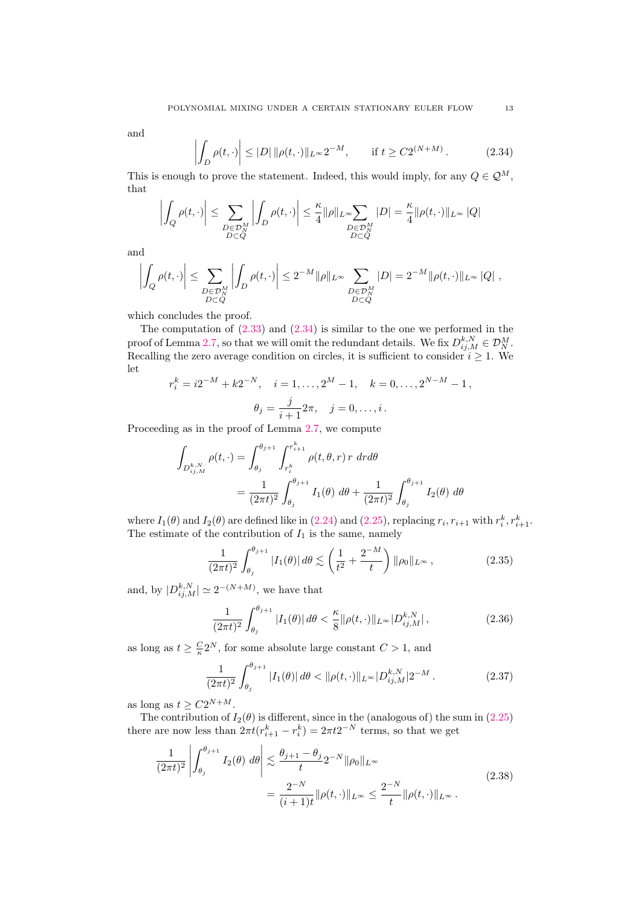and

<span id="page-12-0"></span>
$$
\left| \int_{D} \rho(t, \cdot) \right| \le |D| \, \|\rho(t, \cdot)\|_{L^{\infty}} 2^{-M}, \qquad \text{if } t \ge C 2^{(N+M)}.
$$
 (2.34)

This is enough to prove the statement. Indeed, this would imply, for any  $Q \in \mathcal{Q}^M$ , that

$$
\left| \int_{Q} \rho(t, \cdot) \right| \leq \sum_{\substack{D \in \mathcal{D}_N^M \\ D \subset Q}} \left| \int_{D} \rho(t, \cdot) \right| \leq \frac{\kappa}{4} \|\rho\|_{L^\infty} \sum_{\substack{D \in \mathcal{D}_N^M \\ D \subset Q}} |D| = \frac{\kappa}{4} \|\rho(t, \cdot)\|_{L^\infty} |Q|
$$

and

$$
\left|\int_Q \rho(t,\cdot)\right|\leq \sum_{\substack{D\in\mathcal{D}_N^M\\ D\subset Q}}\left|\int_D \rho(t,\cdot)\right|\leq 2^{-M}\|\rho\|_{L^\infty}\sum_{\substack{D\in\mathcal{D}_N^M\\ D\subset Q}}|D|=2^{-M}\|\rho(t,\cdot)\|_{L^\infty}\|Q\|\ ,
$$

which concludes the proof.

The computation of  $(2.33)$  and  $(2.34)$  is similar to the one we performed in the proof of Lemma [2.7,](#page-9-0) so that we will omit the redundant details. We fix  $D_{ij,M}^{k,N} \in \mathcal{D}_N^M$ . Recalling the zero average condition on circles, it is sufficient to consider  $i \geq 1$ . We let

$$
r_i^k = i2^{-M} + k2^{-N}, \quad i = 1, ..., 2^M - 1, \quad k = 0, ..., 2^{N-M} - 1,
$$

$$
\theta_j = \frac{j}{i+1} 2\pi, \quad j = 0, ..., i.
$$

Proceeding as in the proof of Lemma [2.7,](#page-9-0) we compute

$$
\int_{D_{ij,M}^{k,N}} \rho(t,\cdot) = \int_{\theta_j}^{\theta_{j+1}} \int_{r_i^k}^{r_{i+1}^k} \rho(t,\theta,r) \, r \, dr d\theta
$$
\n
$$
= \frac{1}{(2\pi t)^2} \int_{\theta_j}^{\theta_{j+1}} I_1(\theta) \, d\theta + \frac{1}{(2\pi t)^2} \int_{\theta_j}^{\theta_{j+1}} I_2(\theta) \, d\theta
$$

where  $I_1(\theta)$  and  $I_2(\theta)$  are defined like in [\(2.24\)](#page-10-3) and [\(2.25\)](#page-10-1), replacing  $r_i, r_{i+1}$  with  $r_i^k, r_{i+1}^k$ . The estimate of the contribution of  $I_1$  is the same, namely

$$
\frac{1}{(2\pi t)^2} \int_{\theta_j}^{\theta_{j+1}} |I_1(\theta)| \, d\theta \lesssim \left(\frac{1}{t^2} + \frac{2^{-M}}{t}\right) \|\rho_0\|_{L^\infty},\tag{2.35}
$$

and, by  $|D_{ij,M}^{k,N}| \simeq 2^{-(N+M)}$ , we have that

<span id="page-12-1"></span>
$$
\frac{1}{(2\pi t)^2} \int_{\theta_j}^{\theta_{j+1}} |I_1(\theta)| \, d\theta < \frac{\kappa}{8} \|\rho(t, \cdot)\|_{L^\infty} |D_{ij,M}^{k,N}| \,, \tag{2.36}
$$

as long as  $t \geq \frac{C}{\kappa} 2^N$ , for some absolute large constant  $C > 1$ , and

<span id="page-12-2"></span>
$$
\frac{1}{(2\pi t)^2} \int_{\theta_j}^{\theta_{j+1}} |I_1(\theta)| \, d\theta < \|\rho(t, \cdot)\|_{L^\infty} |D_{ij,M}^{k,N}| 2^{-M} \,. \tag{2.37}
$$

as long as  $t \geq C2^{N+M}$ .

The contribution of  $I_2(\theta)$  is different, since in the (analogous of) the sum in [\(2.25\)](#page-10-1) there are now less than  $2\pi t (r_{i+1}^k - r_i^k) = 2\pi t 2^{-N}$  terms, so that we get

$$
\frac{1}{(2\pi t)^2} \left| \int_{\theta_j}^{\theta_{j+1}} I_2(\theta) \, d\theta \right| \lesssim \frac{\theta_{j+1} - \theta_j}{t} 2^{-N} \|\rho_0\|_{L^\infty} \\
= \frac{2^{-N}}{(i+1)t} \|\rho(t, \cdot)\|_{L^\infty} \le \frac{2^{-N}}{t} \|\rho(t, \cdot)\|_{L^\infty} \, .
$$
\n(2.38)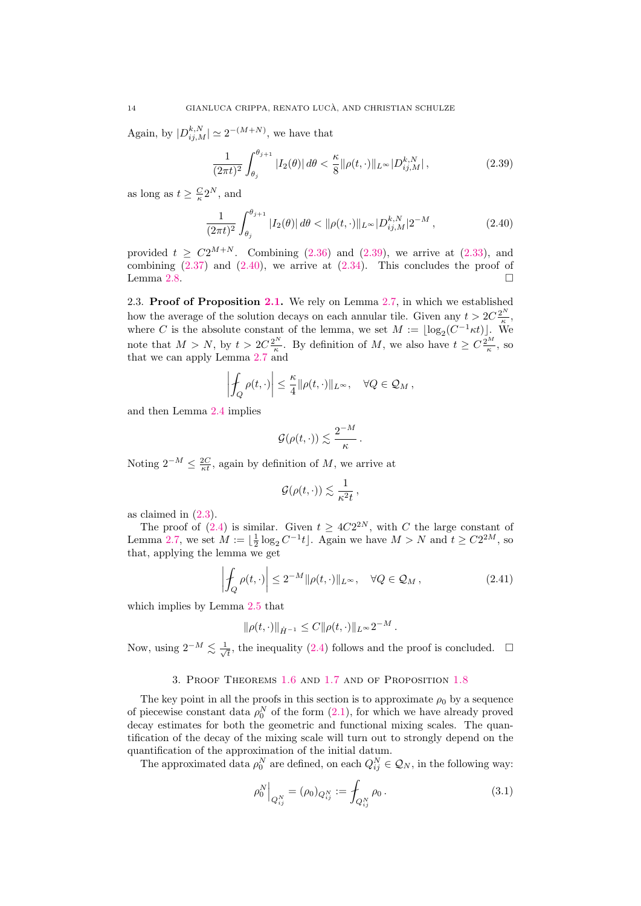Again, by  $|D_{ij,M}^{k,N}| \simeq 2^{-(M+N)}$ , we have that

<span id="page-13-2"></span>
$$
\frac{1}{(2\pi t)^2} \int_{\theta_j}^{\theta_{j+1}} |I_2(\theta)| \, d\theta < \frac{\kappa}{8} \|\rho(t, \cdot)\|_{L^\infty} |D_{ij,M}^{k,N}| \,, \tag{2.39}
$$

as long as  $t \geq \frac{C}{\kappa} 2^N$ , and

<span id="page-13-3"></span>
$$
\frac{1}{(2\pi t)^2} \int_{\theta_j}^{\theta_{j+1}} |I_2(\theta)| \, d\theta < \|\rho(t, \cdot)\|_{L^\infty} |D_{ij,M}^{k,N}| 2^{-M} \,, \tag{2.40}
$$

provided  $t > C2^{M+N}$ . Combining [\(2.36\)](#page-12-1) and [\(2.39\)](#page-13-2), we arrive at [\(2.33\)](#page-11-3), and combining  $(2.37)$  and  $(2.40)$ , we arrive at  $(2.34)$ . This concludes the proof of Lemma [2.8.](#page-11-0)  $\Box$ 

<span id="page-13-1"></span>2.3. Proof of Proposition [2.1.](#page-6-0) We rely on Lemma [2.7,](#page-9-0) in which we established how the average of the solution decays on each annular tile. Given any  $t > 2C\frac{2^N}{\epsilon}$ , where C is the absolute constant of the lemma, we set  $M := \lfloor \log_2(C^{-1}\kappa t) \rfloor$ . We note that  $M > N$ , by  $t > 2C \frac{2^N}{\kappa}$  $\frac{k^N}{\kappa}$ . By definition of M, we also have  $t \geq C \frac{2^M}{\kappa}$ , so that we can apply Lemma [2.7](#page-9-0) and

$$
\left|\oint_Q \rho(t,\cdot)\right| \leq \frac{\kappa}{4} ||\rho(t,\cdot)||_{L^\infty}, \quad \forall Q \in \mathcal{Q}_M,
$$

and then Lemma [2.4](#page-7-4) implies

$$
\mathcal{G}(\rho(t,\cdot))\lesssim \frac{2^{-M}}{\kappa}\,.
$$

Noting  $2^{-M} \leq \frac{2C}{\kappa t}$ , again by definition of M, we arrive at

$$
\mathcal{G}(\rho(t,\cdot)) \lesssim \frac{1}{\kappa^2 t},
$$

as claimed in [\(2.3\)](#page-6-4).

The proof of [\(2.4\)](#page-6-5) is similar. Given  $t \geq 4C2^{2N}$ , with C the large constant of Lemma [2.7,](#page-9-0) we set  $M := \lfloor \frac{1}{2} \log_2 C^{-1} t \rfloor$ . Again we have  $M > N$  and  $t \ge C2^{2M}$ , so that, applying the lemma we get

$$
\left| \oint_{Q} \rho(t, \cdot) \right| \le 2^{-M} \|\rho(t, \cdot)\|_{L^{\infty}}, \quad \forall Q \in \mathcal{Q}_{M}, \tag{2.41}
$$

which implies by Lemma [2.5](#page-7-1) that

$$
\|\rho(t,\cdot)\|_{\dot{H}^{-1}} \leq C \|\rho(t,\cdot)\|_{L^\infty} 2^{-M}.
$$

Now, using  $2^{-M} \lesssim \frac{1}{4}$  $\overline{t}_{\overline{t}}$ , the inequality [\(2.4\)](#page-6-5) follows and the proof is concluded.  $\Box$ 

## 3. Proof Theorems [1.6](#page-2-2) and [1.7](#page-3-2) and of Proposition [1.8](#page-3-3)

<span id="page-13-0"></span>The key point in all the proofs in this section is to approximate  $\rho_0$  by a sequence of piecewise constant data  $\rho_0^N$  of the form  $(2.1)$ , for which we have already proved decay estimates for both the geometric and functional mixing scales. The quantification of the decay of the mixing scale will turn out to strongly depend on the quantification of the approximation of the initial datum.

The approximated data  $\rho_0^N$  are defined, on each  $Q_{ij}^N \in \mathcal{Q}_N$ , in the following way:

$$
\rho_0^N \Big|_{Q_{ij}^N} = (\rho_0)_{Q_{ij}^N} := \int_{Q_{ij}^N} \rho_0 \,. \tag{3.1}
$$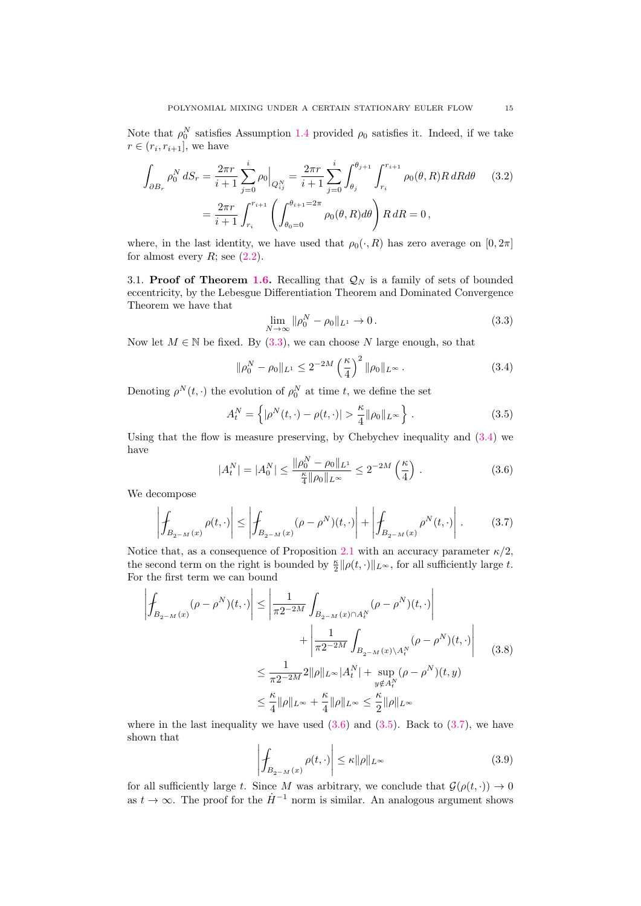Note that  $\rho_0^N$  satisfies Assumption [1.4](#page-2-0) provided  $\rho_0$  satisfies it. Indeed, if we take  $r \in (r_i, r_{i+1}],$  we have

$$
\int_{\partial B_r} \rho_0^N dS_r = \frac{2\pi r}{i+1} \sum_{j=0}^i \rho_0 \Big|_{Q_{ij}^N} = \frac{2\pi r}{i+1} \sum_{j=0}^i \int_{\theta_j}^{\theta_{j+1}} \int_{r_i}^{r_{i+1}} \rho_0(\theta, R) R dR d\theta \qquad (3.2)
$$

$$
= \frac{2\pi r}{i+1} \int_{r_i}^{r_{i+1}} \left( \int_{\theta_0=0}^{\theta_{i+1}=2\pi} \rho_0(\theta, R) d\theta \right) R dR = 0,
$$

where, in the last identity, we have used that  $\rho_0(\cdot, R)$  has zero average on  $[0, 2\pi]$ for almost every  $R$ ; see  $(2.2)$ .

<span id="page-14-0"></span>3.1. Proof of Theorem [1.6.](#page-2-2) Recalling that  $\mathcal{Q}_N$  is a family of sets of bounded eccentricity, by the Lebesgue Differentiation Theorem and Dominated Convergence Theorem we have that

<span id="page-14-1"></span>
$$
\lim_{N \to \infty} \|\rho_0^N - \rho_0\|_{L^1} \to 0. \tag{3.3}
$$

Now let  $M \in \mathbb{N}$  be fixed. By [\(3.3\)](#page-14-1), we can choose N large enough, so that

<span id="page-14-2"></span>
$$
\|\rho_0^N - \rho_0\|_{L^1} \le 2^{-2M} \left(\frac{\kappa}{4}\right)^2 \|\rho_0\|_{L^\infty} \,. \tag{3.4}
$$

Denoting  $\rho^N(t, \cdot)$  the evolution of  $\rho_0^N$  at time t, we define the set

<span id="page-14-4"></span>
$$
A_t^N = \left\{ |\rho^N(t, \cdot) - \rho(t, \cdot)| > \frac{\kappa}{4} ||\rho_0||_{L^\infty} \right\}.
$$
 (3.5)

Using that the flow is measure preserving, by Chebychev inequality and [\(3.4\)](#page-14-2) we have  $\mathbf{v}$ 

<span id="page-14-3"></span>
$$
|A_t^N| = |A_0^N| \le \frac{\|\rho_0^N - \rho_0\|_{L^1}}{\frac{\kappa}{4}\|\rho_0\|_{L^\infty}} \le 2^{-2M} \left(\frac{\kappa}{4}\right). \tag{3.6}
$$

We decompose

<span id="page-14-5"></span>
$$
\left| \oint_{B_{2-M}(x)} \rho(t, \cdot) \right| \le \left| \oint_{B_{2-M}(x)} (\rho - \rho^N)(t, \cdot) \right| + \left| \oint_{B_{2-M}(x)} \rho^N(t, \cdot) \right| \,. \tag{3.7}
$$

Notice that, as a consequence of Proposition [2.1](#page-6-0) with an accuracy parameter  $\kappa/2$ , the second term on the right is bounded by  $\frac{\kappa}{2} ||\rho(t, \cdot)||_{L^{\infty}}$ , for all sufficiently large t. For the first term we can bound

$$
\left| \oint_{B_{2-M}(x)} (\rho - \rho^N)(t, \cdot) \right| \le \left| \frac{1}{\pi 2^{-2M}} \int_{B_{2-M}(x) \cap A_t^N} (\rho - \rho^N)(t, \cdot) \right|
$$

$$
+ \left| \frac{1}{\pi 2^{-2M}} \int_{B_{2-M}(x) \backslash A_t^N} (\rho - \rho^N)(t, \cdot) \right|
$$

$$
\le \frac{1}{\pi 2^{-2M}} 2 \|\rho\|_{L^\infty} |A_t^N| + \sup_{\substack{y \notin A_t^N \\ y \notin A_t^N}} (\rho - \rho^N)(t, y)
$$

$$
\le \frac{\kappa}{4} \|\rho\|_{L^\infty} + \frac{\kappa}{4} \|\rho\|_{L^\infty} \le \frac{\kappa}{2} \|\rho\|_{L^\infty}
$$

where in the last inequality we have used  $(3.6)$  and  $(3.5)$ . Back to  $(3.7)$ , we have shown that

$$
\left| \int_{B_{2-M}(x)} \rho(t, \cdot) \right| \leq \kappa ||\rho||_{L^{\infty}} \tag{3.9}
$$

for all sufficiently large t. Since M was arbitrary, we conclude that  $\mathcal{G}(\rho(t, \cdot)) \to 0$ as  $t \to \infty$ . The proof for the  $\dot{H}^{-1}$  norm is similar. An analogous argument shows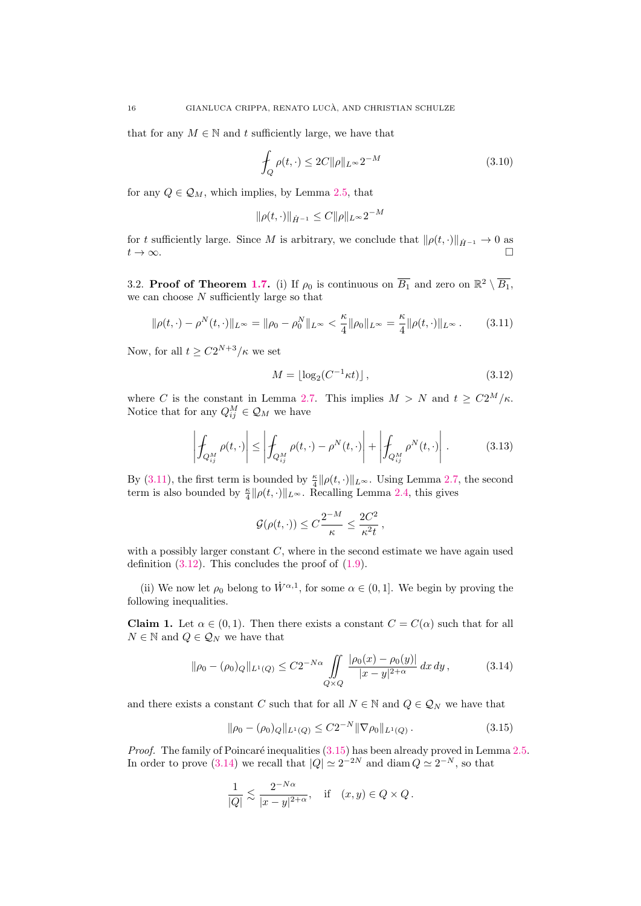that for any  $M \in \mathbb{N}$  and t sufficiently large, we have that

$$
\int_{Q} \rho(t, \cdot) \leq 2C \|\rho\|_{L^{\infty}} 2^{-M}
$$
\n(3.10)

for any  $Q \in \mathcal{Q}_M$ , which implies, by Lemma [2.5,](#page-7-1) that

$$
\|\rho(t,\cdot)\|_{\dot{H}^{-1}} \le C \|\rho\|_{L^\infty} 2^{-M}
$$

for t sufficiently large. Since M is arbitrary, we conclude that  $\|\rho(t, \cdot)\|_{\dot{H}^{-1}} \to 0$  as  $t \to \infty$ .  $t \to \infty$ .

<span id="page-15-0"></span>3.2. Proof of Theorem [1.7.](#page-3-2) (i) If  $\rho_0$  is continuous on  $\overline{B_1}$  and zero on  $\mathbb{R}^2 \setminus \overline{B_1}$ , we can choose  $N$  sufficiently large so that

<span id="page-15-1"></span>
$$
\|\rho(t,\cdot) - \rho^N(t,\cdot)\|_{L^\infty} = \|\rho_0 - \rho_0^N\|_{L^\infty} < \frac{\kappa}{4} \|\rho_0\|_{L^\infty} = \frac{\kappa}{4} \|\rho(t,\cdot)\|_{L^\infty} \,. \tag{3.11}
$$

Now, for all  $t \geq C2^{N+3}/\kappa$  we set

<span id="page-15-2"></span>
$$
M = \lfloor \log_2(C^{-1}\kappa t) \rfloor, \tag{3.12}
$$

where C is the constant in Lemma [2.7.](#page-9-0) This implies  $M > N$  and  $t \geq C2^M/\kappa$ . Notice that for any  $Q_{ij}^M \in \mathcal{Q}_M$  we have

$$
\left| \int_{Q_{ij}^M} \rho(t, \cdot) \right| \le \left| \int_{Q_{ij}^M} \rho(t, \cdot) - \rho^N(t, \cdot) \right| + \left| \int_{Q_{ij}^M} \rho^N(t, \cdot) \right|.
$$
 (3.13)

By [\(3.11\)](#page-15-1), the first term is bounded by  $\frac{\kappa}{4} ||\rho(t, \cdot)||_{L^{\infty}}$ . Using Lemma [2.7,](#page-9-0) the second term is also bounded by  $\frac{\kappa}{4} ||\rho(t, \cdot)||_{L^{\infty}}$ . Recalling Lemma [2.4,](#page-7-4) this gives

<span id="page-15-4"></span>
$$
\mathcal{G}(\rho(t,\cdot)) \leq C \frac{2^{-M}}{\kappa} \leq \frac{2C^2}{\kappa^2 t},
$$

with a possibly larger constant  $C$ , where in the second estimate we have again used definition  $(3.12)$ . This concludes the proof of  $(1.9)$ .

(ii) We now let  $\rho_0$  belong to  $\dot{W}^{\alpha,1}$ , for some  $\alpha \in (0,1]$ . We begin by proving the following inequalities.

<span id="page-15-5"></span>**Claim 1.** Let  $\alpha \in (0,1)$ . Then there exists a constant  $C = C(\alpha)$  such that for all  $N \in \mathbb{N}$  and  $Q \in \mathcal{Q}_N$  we have that

$$
\|\rho_0 - (\rho_0)Q\|_{L^1(Q)} \le C2^{-N\alpha} \iint\limits_{Q\times Q} \frac{|\rho_0(x) - \rho_0(y)|}{|x - y|^{2+\alpha}} dx dy, \tag{3.14}
$$

and there exists a constant C such that for all  $N \in \mathbb{N}$  and  $Q \in \mathcal{Q}_N$  we have that

<span id="page-15-3"></span>
$$
\|\rho_0 - (\rho_0)Q\|_{L^1(Q)} \le C2^{-N} \|\nabla \rho_0\|_{L^1(Q)}.
$$
\n(3.15)

*Proof.* The family of Poincaré inequalities  $(3.15)$  has been already proved in Lemma [2.5.](#page-7-1) In order to prove [\(3.14\)](#page-15-4) we recall that  $|Q| \simeq 2^{-2N}$  and diam  $Q \simeq 2^{-N}$ , so that

$$
\frac{1}{|Q|} \lesssim \frac{2^{-N\alpha}}{|x-y|^{2+\alpha}}, \quad \text{if} \quad (x,y) \in Q \times Q \, .
$$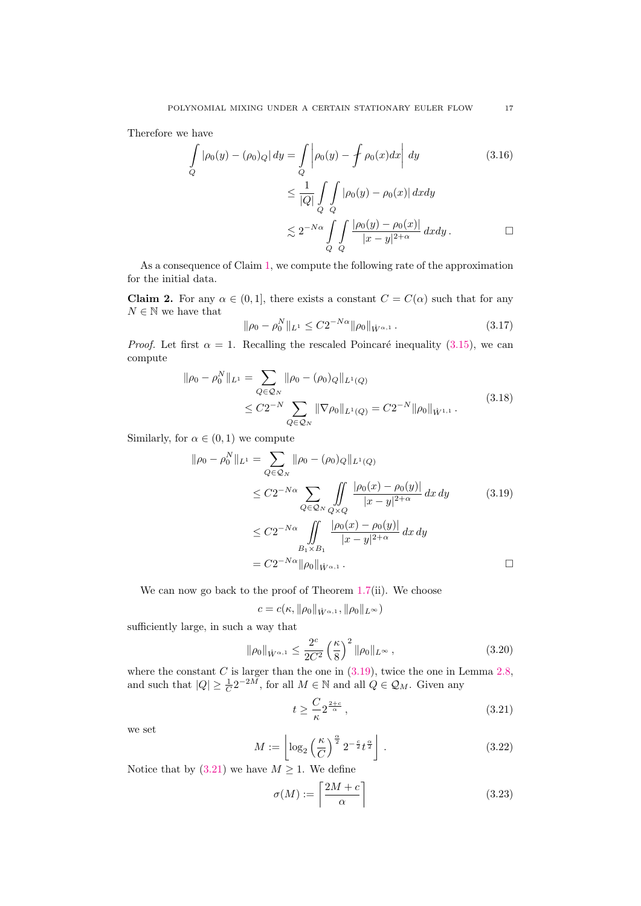Therefore we have

$$
\int_{Q} |\rho_0(y) - (\rho_0)Q| dy = \int_{Q} \left| \rho_0(y) - \oint \rho_0(x)dx \right| dy \qquad (3.16)
$$

$$
\leq \frac{1}{|Q|} \int_{Q} \int_{Q} |\rho_0(y) - \rho_0(x)| dx dy
$$

$$
\lesssim 2^{-N\alpha} \int_{Q} \int_{Q} \frac{|\rho_0(y) - \rho_0(x)|}{|x - y|^{2 + \alpha}} dx dy \qquad \Box
$$

As a consequence of Claim [1,](#page-15-5) we compute the following rate of the approximation for the initial data.

<span id="page-16-4"></span>**Claim 2.** For any  $\alpha \in (0,1]$ , there exists a constant  $C = C(\alpha)$  such that for any  $N\in\mathbb{N}$  we have that

$$
\|\rho_0 - \rho_0^N\|_{L^1} \le C2^{-N\alpha} \|\rho_0\|_{\dot{W}^{\alpha,1}}.
$$
\n(3.17)

*Proof.* Let first  $\alpha = 1$ . Recalling the rescaled Poincaré inequality [\(3.15\)](#page-15-3), we can compute

$$
\|\rho_0 - \rho_0^N\|_{L^1} = \sum_{Q \in \mathcal{Q}_N} \|\rho_0 - (\rho_0)_Q\|_{L^1(Q)}
$$
  

$$
\leq C 2^{-N} \sum_{Q \in \mathcal{Q}_N} \|\nabla \rho_0\|_{L^1(Q)} = C 2^{-N} \|\rho_0\|_{\dot{W}^{1,1}}.
$$
 (3.18)

Similarly, for  $\alpha \in (0,1)$  we compute

$$
\|\rho_0 - \rho_0^N\|_{L^1} = \sum_{Q \in \mathcal{Q}_N} \|\rho_0 - (\rho_0)_Q\|_{L^1(Q)}
$$
  
\n
$$
\leq C2^{-N\alpha} \sum_{Q \in \mathcal{Q}_N} \iint_{Q \times Q} \frac{|\rho_0(x) - \rho_0(y)|}{|x - y|^{2 + \alpha}} dx dy \qquad (3.19)
$$
  
\n
$$
\leq C2^{-N\alpha} \iint_{B_1 \times B_1} \frac{|\rho_0(x) - \rho_0(y)|}{|x - y|^{2 + \alpha}} dx dy
$$
  
\n
$$
= C2^{-N\alpha} \|\rho_0\|_{\dot{W}^{\alpha, 1}} .
$$

We can now go back to the proof of Theorem [1.7\(](#page-3-2)ii). We choose

<span id="page-16-2"></span>
$$
c = c(\kappa, \|\rho_0\|_{\dot{W}^{\alpha,1}}, \|\rho_0\|_{L^\infty})
$$

sufficiently large, in such a way that

<span id="page-16-1"></span>
$$
\|\rho_0\|_{\dot{W}^{\alpha,1}} \le \frac{2^c}{2C^2} \left(\frac{\kappa}{8}\right)^2 \|\rho_0\|_{L^\infty},\tag{3.20}
$$

where the constant C is larger than the one in  $(3.19)$ , twice the one in Lemma [2.8,](#page-11-0) and such that  $|Q| \geq \frac{1}{C} 2^{-2M}$ , for all  $M \in \mathbb{N}$  and all  $Q \in \mathcal{Q}_M$ . Given any

<span id="page-16-0"></span>
$$
t \ge \frac{C}{\kappa} 2^{\frac{2+c}{\alpha}},\tag{3.21}
$$

we set

<span id="page-16-3"></span>
$$
M := \left\lfloor \log_2\left(\frac{\kappa}{C}\right)^{\frac{\alpha}{2}} 2^{-\frac{c}{2}} t^{\frac{\alpha}{2}} \right\rfloor . \tag{3.22}
$$

Notice that by [\(3.21\)](#page-16-0) we have  $M \geq 1$ . We define

$$
\sigma(M) := \left\lceil \frac{2M + c}{\alpha} \right\rceil \tag{3.23}
$$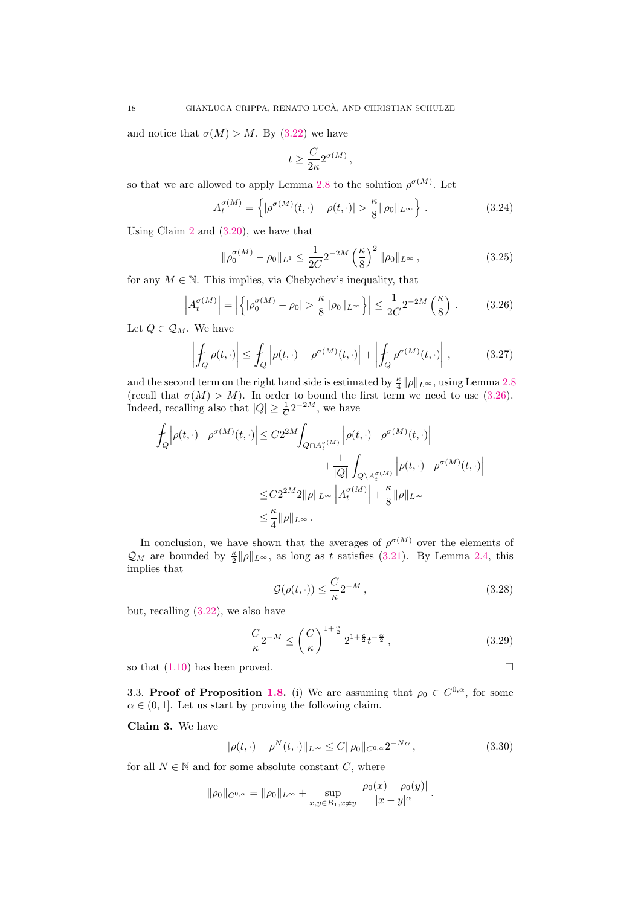and notice that  $\sigma(M) > M$ . By [\(3.22\)](#page-16-3) we have

$$
t \geq \frac{C}{2\kappa} 2^{\sigma(M)},
$$

so that we are allowed to apply Lemma [2.8](#page-11-0) to the solution  $\rho^{\sigma(M)}$ . Let

$$
A_t^{\sigma(M)} = \left\{ |\rho^{\sigma(M)}(t, \cdot) - \rho(t, \cdot)| > \frac{\kappa}{8} ||\rho_0||_{L^\infty} \right\}.
$$
 (3.24)

Using Claim [2](#page-16-4) and [\(3.20\)](#page-16-1), we have that

$$
\|\rho_0^{\sigma(M)} - \rho_0\|_{L^1} \le \frac{1}{2C} 2^{-2M} \left(\frac{\kappa}{8}\right)^2 \|\rho_0\|_{L^\infty},\tag{3.25}
$$

for any  $M \in \mathbb{N}$ . This implies, via Chebychev's inequality, that

<span id="page-17-2"></span>
$$
\left| A_t^{\sigma(M)} \right| = \left| \left\{ \left| \rho_0^{\sigma(M)} - \rho_0 \right| > \frac{\kappa}{8} \|\rho_0\|_{L^\infty} \right\} \right| \le \frac{1}{2C} 2^{-2M} \left( \frac{\kappa}{8} \right) . \tag{3.26}
$$

Let  $Q \in \mathcal{Q}_M$ . We have

$$
\left| \oint_{Q} \rho(t, \cdot) \right| \leq \int_{Q} \left| \rho(t, \cdot) - \rho^{\sigma(M)}(t, \cdot) \right| + \left| \oint_{Q} \rho^{\sigma(M)}(t, \cdot) \right|, \tag{3.27}
$$

and the second term on the right hand side is estimated by  $\frac{\kappa}{4} ||\rho||_{L^{\infty}}$ , using Lemma [2.8](#page-11-0) (recall that  $\sigma(M) > M$ ). In order to bound the first term we need to use [\(3.26\)](#page-17-2). Indeed, recalling also that  $|Q| \geq \frac{1}{C} 2^{-2M}$ , we have

$$
\begin{split} \int_{Q} \Bigl| \rho(t,\cdot)-\rho^{\sigma(M)}(t,\cdot)\Bigr| &\leq C 2^{2M} \!\! \int_{Q \cap A^{\sigma(M)}_t} \Bigl| \rho(t,\cdot)-\rho^{\sigma(M)}(t,\cdot)\Bigr| \\ &\qquad \qquad + \frac{1}{|Q|} \int_{Q \setminus A^{\sigma(M)}_t} \Bigl| \rho(t,\cdot)-\rho^{\sigma(M)}(t,\cdot)\Bigr| \\ &\leq C 2^{2M} 2\|\rho\|_{L^\infty} \left| A^{\sigma(M)}_t\right| + \frac{\kappa}{8}\|\rho\|_{L^\infty} \\ &\leq \frac{\kappa}{4}\|\rho\|_{L^\infty} \, . \end{split}
$$

In conclusion, we have shown that the averages of  $\rho^{\sigma(M)}$  over the elements of  $\mathcal{Q}_M$  are bounded by  $\frac{\kappa}{2} ||\rho||_{L^\infty}$ , as long as t satisfies [\(3.21\)](#page-16-0). By Lemma [2.4,](#page-7-4) this implies that

$$
\mathcal{G}(\rho(t,\cdot)) \le \frac{C}{\kappa} 2^{-M},\tag{3.28}
$$

but, recalling  $(3.22)$ , we also have

<span id="page-17-0"></span>
$$
\frac{C}{\kappa}2^{-M} \le \left(\frac{C}{\kappa}\right)^{1+\frac{\alpha}{2}} 2^{1+\frac{c}{2}} t^{-\frac{\alpha}{2}},\tag{3.29}
$$

so that  $(1.10)$  has been proved.

<span id="page-17-1"></span>3.3. Proof of Proposition [1.8.](#page-3-3) (i) We are assuming that  $\rho_0 \in C^{0,\alpha}$ , for some  $\alpha \in (0, 1]$ . Let us start by proving the following claim.

<span id="page-17-4"></span>Claim 3. We have

<span id="page-17-3"></span>
$$
\|\rho(t,\cdot) - \rho^N(t,\cdot)\|_{L^\infty} \le C \|\rho_0\|_{C^{0,\alpha}} 2^{-N\alpha},\tag{3.30}
$$

for all  $N \in \mathbb{N}$  and for some absolute constant C, where

$$
\|\rho_0\|_{C^{0,\alpha}} = \|\rho_0\|_{L^\infty} + \sup_{x,y \in B_1, x \neq y} \frac{|\rho_0(x) - \rho_0(y)|}{|x - y|^\alpha}.
$$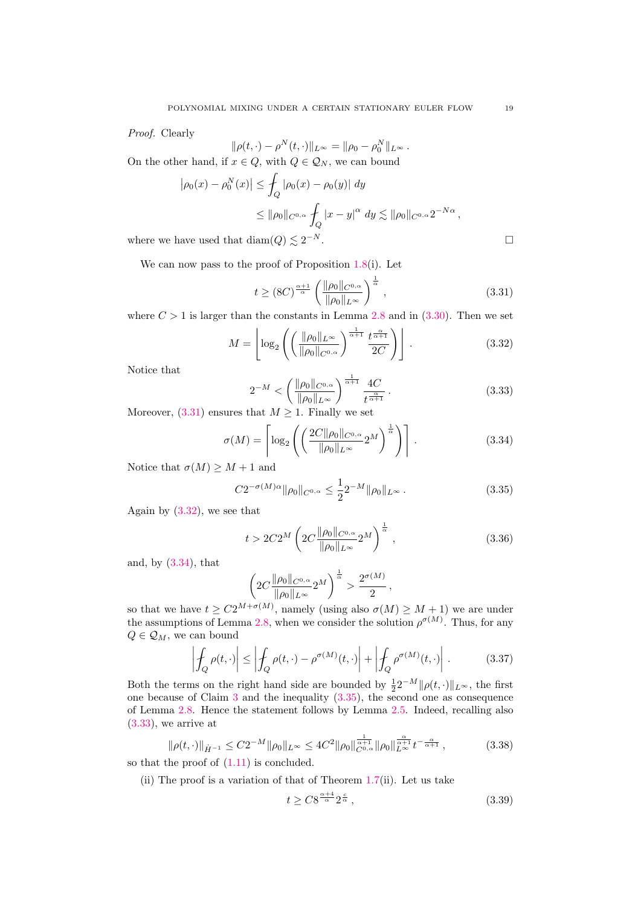Proof. Clearly

$$
\|\rho(t,\cdot)-\rho^N(t,\cdot)\|_{L^\infty} = \|\rho_0-\rho_0^N\|_{L^\infty}.
$$

On the other hand, if  $x \in Q$ , with  $Q \in \mathcal{Q}_N$ , we can bound

$$
\left|\rho_0(x) - \rho_0^N(x)\right| \le \int_Q |\rho_0(x) - \rho_0(y)| dy
$$
  
\n
$$
\le ||\rho_0||_{C^{0,\alpha}} \int_Q |x - y|^{\alpha} dy \lesssim ||\rho_0||_{C^{0,\alpha}} 2^{-N\alpha},
$$
  
\nhave used that  $\text{diam}(Q) \lesssim 2^{-N}.$ 

where we have used that  $\text{diam}(Q) \lesssim 2^{-N}$ .

We can now pass to the proof of Proposition [1.8\(](#page-3-3)i). Let

<span id="page-18-3"></span>
$$
t \ge (8C)^{\frac{\alpha+1}{\alpha}} \left( \frac{\|\rho_0\|_{C^{0,\alpha}}}{\|\rho_0\|_{L^\infty}} \right)^{\frac{1}{\alpha}},\tag{3.31}
$$

where  $C > 1$  is larger than the constants in Lemma [2.8](#page-11-0) and in [\(3.30\)](#page-17-3). Then we set

<span id="page-18-4"></span>
$$
M = \left\lfloor \log_2 \left( \left( \frac{\|\rho_0\|_{L^\infty}}{\|\rho_0\|_{C^{0,\alpha}}} \right)^{\frac{1}{\alpha+1}} \frac{t^{\frac{\alpha}{\alpha+1}}}{2C} \right) \right\rfloor. \tag{3.32}
$$

Notice that

<span id="page-18-7"></span>
$$
2^{-M} < \left(\frac{\|\rho_0\|_{C^{0,\alpha}}}{\|\rho_0\|_{L^\infty}}\right)^{\frac{1}{\alpha+1}} \frac{4C}{t^{\frac{\alpha}{\alpha+1}}} \,. \tag{3.33}
$$

Moreover,  $(3.31)$  ensures that  $M \geq 1$ . Finally we set

<span id="page-18-5"></span>
$$
\sigma(M) = \left\lceil \log_2 \left( \left( \frac{2C \|\rho_0\|_{C^{0,\alpha}}}{\|\rho_0\|_{L^\infty}} 2^M \right)^{\frac{1}{\alpha}} \right) \right\rceil. \tag{3.34}
$$

Notice that  $\sigma(M) \geq M + 1$  and

<span id="page-18-6"></span>
$$
C2^{-\sigma(M)\alpha} \|\rho_0\|_{C^{0,\alpha}} \le \frac{1}{2} 2^{-M} \|\rho_0\|_{L^\infty} \,. \tag{3.35}
$$

Again by [\(3.32\)](#page-18-4), we see that

<span id="page-18-0"></span>
$$
t > 2C2^{M} \left( 2C \frac{\|\rho_0\|_{C^{0,\alpha}}}{\|\rho_0\|_{L^{\infty}}} 2^{M} \right)^{\frac{1}{\alpha}}, \qquad (3.36)
$$

and, by [\(3.34\)](#page-18-5), that

$$
\left(2C\frac{\|\rho_0\|_{C^{0,\alpha}}}{\|\rho_0\|_{L^\infty}}2^M\right)^{\frac{1}{\alpha}}>\frac{2^{\sigma(M)}}{2},
$$

so that we have  $t \geq C2^{M+\sigma(M)}$ , namely (using also  $\sigma(M) \geq M+1$ ) we are under the assumptions of Lemma [2.8,](#page-11-0) when we consider the solution  $\rho^{\sigma(M)}$ . Thus, for any  $Q \in \mathcal{Q}_M$ , we can bound

$$
\left| \oint_{Q} \rho(t, \cdot) \right| \leq \left| \oint_{Q} \rho(t, \cdot) - \rho^{\sigma(M)}(t, \cdot) \right| + \left| \oint_{Q} \rho^{\sigma(M)}(t, \cdot) \right|.
$$
 (3.37)

Both the terms on the right hand side are bounded by  $\frac{1}{2}2^{-M} \|\rho(t, \cdot)\|_{L^{\infty}}$ , the first one because of Claim [3](#page-17-4) and the inequality [\(3.35\)](#page-18-6), the second one as consequence of Lemma [2.8.](#page-11-0) Hence the statement follows by Lemma [2.5.](#page-7-1) Indeed, recalling also [\(3.33\)](#page-18-7), we arrive at

<span id="page-18-2"></span>
$$
\|\rho(t,\cdot)\|_{\dot{H}^{-1}} \leq C2^{-M} \|\rho_0\|_{L^\infty} \leq 4C^2 \|\rho_0\|_{C^{0,\alpha}}^{\frac{1}{\alpha+1}} \|\rho_0\|_{L^\infty}^{\frac{\alpha}{\alpha+1}} t^{-\frac{\alpha}{\alpha+1}},\tag{3.38}
$$

so that the proof of [\(1.11\)](#page-3-5) is concluded.

(ii) The proof is a variation of that of Theorem  $1.7$ (ii). Let us take

<span id="page-18-1"></span>
$$
t \geq C8^{\frac{\alpha+4}{\alpha}} 2^{\frac{c}{\alpha}},\tag{3.39}
$$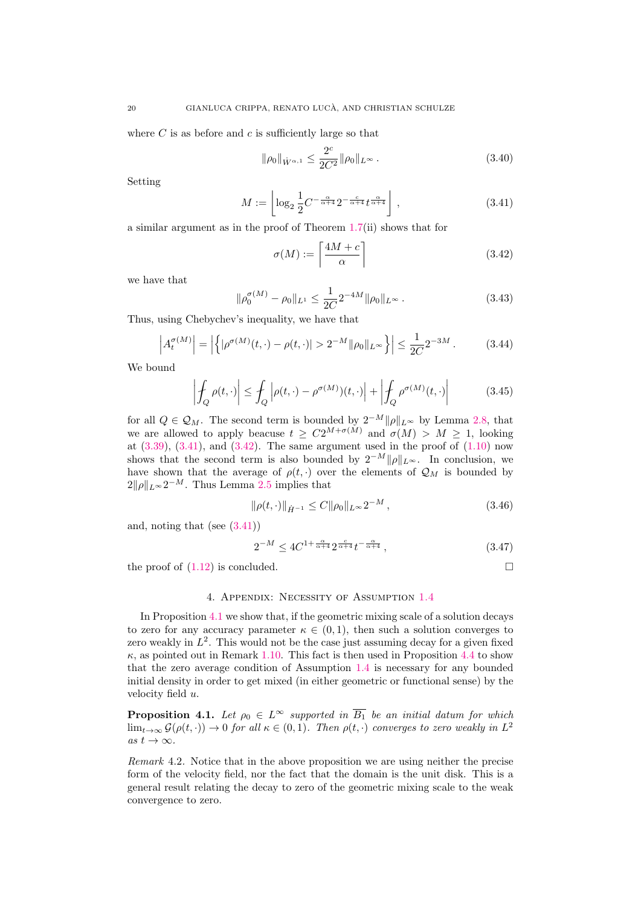where  $C$  is as before and  $c$  is sufficiently large so that

<span id="page-19-1"></span>
$$
\|\rho_0\|_{\dot{W}^{\alpha,1}} \le \frac{2^c}{2C^2} \|\rho_0\|_{L^\infty} \,. \tag{3.40}
$$

Setting

<span id="page-19-3"></span>
$$
M := \left\lfloor \log_2 \frac{1}{2} C^{-\frac{\alpha}{\alpha+4}} 2^{-\frac{c}{\alpha+4}} t^{\frac{\alpha}{\alpha+4}} \right\rfloor , \qquad (3.41)
$$

a similar argument as in the proof of Theorem [1.7\(](#page-3-2)ii) shows that for

<span id="page-19-4"></span>
$$
\sigma(M) := \left\lceil \frac{4M + c}{\alpha} \right\rceil \tag{3.42}
$$

we have that

$$
\|\rho_0^{\sigma(M)} - \rho_0\|_{L^1} \le \frac{1}{2C} 2^{-4M} \|\rho_0\|_{L^\infty} \,. \tag{3.43}
$$

Thus, using Chebychev's inequality, we have that

$$
\left| A_t^{\sigma(M)} \right| = \left| \left\{ \left| \rho^{\sigma(M)}(t, \cdot) - \rho(t, \cdot) \right| > 2^{-M} \|\rho_0\|_{L^\infty} \right\} \right| \le \frac{1}{2C} 2^{-3M} \,. \tag{3.44}
$$

We bound

$$
\left| \oint_{Q} \rho(t, \cdot) \right| \leq \oint_{Q} \left| \rho(t, \cdot) - \rho^{\sigma(M)}(t, \cdot) \right| + \left| \oint_{Q} \rho^{\sigma(M)}(t, \cdot) \right| \tag{3.45}
$$

for all  $Q \in \mathcal{Q}_M$ . The second term is bounded by  $2^{-M} ||\rho||_{L^{\infty}}$  by Lemma [2.8,](#page-11-0) that we are allowed to apply beacuse  $t \geq C2^{M+\sigma(M)}$  and  $\sigma(M) > M \geq 1$ , looking at  $(3.39)$ ,  $(3.41)$ , and  $(3.42)$ . The same argument used in the proof of  $(1.10)$  now shows that the second term is also bounded by  $2^{-M} ||\rho||_{L^{\infty}}$ . In conclusion, we have shown that the average of  $\rho(t, \cdot)$  over the elements of  $\mathcal{Q}_M$  is bounded by  $2\|\rho\|_{L^{\infty}}2^{-M}$ . Thus Lemma [2.5](#page-7-1) implies that

$$
\|\rho(t,\cdot)\|_{\dot{H}^{-1}} \le C \|\rho_0\|_{L^\infty} 2^{-M},\tag{3.46}
$$

and, noting that (see  $(3.41)$ )

<span id="page-19-2"></span>
$$
2^{-M} \le 4C^{1+\frac{\alpha}{\alpha+4}} 2^{\frac{c}{\alpha+4}} t^{-\frac{\alpha}{\alpha+4}}, \tag{3.47}
$$

the proof of  $(1.12)$  is concluded.

### 4. Appendix: Necessity of Assumption [1.4](#page-2-0)

In Proposition [4.1](#page-19-0) we show that, if the geometric mixing scale of a solution decays to zero for any accuracy parameter  $\kappa \in (0,1)$ , then such a solution converges to zero weakly in  $L^2$ . This would not be the case just assuming decay for a given fixed  $\kappa$ , as pointed out in Remark [1.10.](#page-4-0) This fact is then used in Proposition [4.4](#page-21-0) to show that the zero average condition of Assumption [1.4](#page-2-0) is necessary for any bounded initial density in order to get mixed (in either geometric or functional sense) by the velocity field u.

<span id="page-19-0"></span>**Proposition 4.1.** Let  $\rho_0 \in L^{\infty}$  supported in  $\overline{B_1}$  be an initial datum for which  $\lim_{t\to\infty}\mathcal{G}(\rho(t,\cdot))\to 0$  for all  $\kappa\in(0,1)$ . Then  $\rho(t,\cdot)$  converges to zero weakly in  $L^2$ as  $t \to \infty$ .

Remark 4.2. Notice that in the above proposition we are using neither the precise form of the velocity field, nor the fact that the domain is the unit disk. This is a general result relating the decay to zero of the geometric mixing scale to the weak convergence to zero.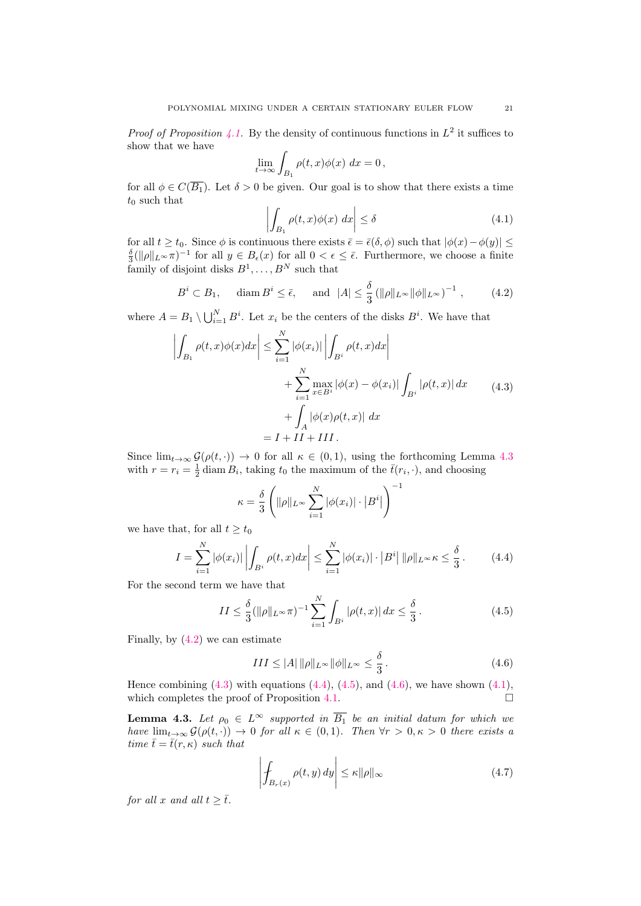*Proof of Proposition [4.1.](#page-19-0)* By the density of continuous functions in  $L^2$  it suffices to show that we have

$$
\lim_{t \to \infty} \int_{B_1} \rho(t, x) \phi(x) \ dx = 0,
$$

for all  $\phi \in C(\overline{B_1})$ . Let  $\delta > 0$  be given. Our goal is to show that there exists a time  $t_0$  such that

<span id="page-20-6"></span>
$$
\left| \int_{B_1} \rho(t, x) \phi(x) \, dx \right| \le \delta \tag{4.1}
$$

for all  $t \ge t_0$ . Since  $\phi$  is continuous there exists  $\bar{\epsilon} = \bar{\epsilon}(\delta, \phi)$  such that  $|\phi(x) - \phi(y)| \le$  $\frac{\delta}{3}(\|\rho\|_{L^\infty}\pi)^{-1}$  for all  $y \in B_{\epsilon}(x)$  for all  $0 < \epsilon \leq \overline{\epsilon}$ . Furthermore, we choose a finite  $\lim_{3 \leq \|B\| \leq N}$  for an  $y \in B_{\epsilon}(x)$  for an  $0 < \epsilon$ <br>family of disjoint disks  $B^1, \ldots, B^N$  such that

<span id="page-20-1"></span>
$$
B^i \subset B_1, \quad \text{diam } B^i \le \bar{\epsilon}, \quad \text{ and } \quad |A| \le \frac{\delta}{3} \left( \| \rho \|_{L^\infty} \| \phi \|_{L^\infty} \right)^{-1}, \tag{4.2}
$$

where  $A = B_1 \setminus \bigcup_{i=1}^N B^i$ . Let  $x_i$  be the centers of the disks  $B^i$ . We have that

<span id="page-20-2"></span>
$$
\left| \int_{B_1} \rho(t, x) \phi(x) dx \right| \leq \sum_{i=1}^N |\phi(x_i)| \left| \int_{B^i} \rho(t, x) dx \right|
$$
  
+ 
$$
\sum_{i=1}^N \max_{x \in B^i} |\phi(x) - \phi(x_i)| \int_{B^i} |\rho(t, x)| dx
$$
  
+ 
$$
\int_A |\phi(x)\rho(t, x)| dx
$$
  
=  $I + II + III$ .

Since  $\lim_{t\to\infty} \mathcal{G}(\rho(t,\cdot)) \to 0$  for all  $\kappa \in (0,1)$ , using the forthcoming Lemma [4.3](#page-20-0) with  $r = r_i = \frac{1}{2} \operatorname{diam} B_i$ , taking  $t_0$  the maximum of the  $\bar{t}(r_i, \cdot)$ , and choosing

$$
\kappa = \frac{\delta}{3} \left( \|\rho\|_{L^\infty} \sum_{i=1}^N |\phi(x_i)| \cdot |B^i| \right)^{-1}
$$

we have that, for all  $t > t_0$ 

<span id="page-20-3"></span>
$$
I = \sum_{i=1}^{N} |\phi(x_i)| \left| \int_{B^i} \rho(t, x) dx \right| \le \sum_{i=1}^{N} |\phi(x_i)| \cdot |B^i| \, \|\rho\|_{L^\infty} \kappa \le \frac{\delta}{3} \,. \tag{4.4}
$$

For the second term we have that

<span id="page-20-4"></span>
$$
II \le \frac{\delta}{3} (\|\rho\|_{L^{\infty}} \pi)^{-1} \sum_{i=1}^{N} \int_{B^i} |\rho(t, x)| dx \le \frac{\delta}{3}.
$$
 (4.5)

Finally, by [\(4.2\)](#page-20-1) we can estimate

<span id="page-20-5"></span>
$$
III \le |A| \|\rho\|_{L^{\infty}} \|\phi\|_{L^{\infty}} \le \frac{\delta}{3}.
$$
\n(4.6)

Hence combining  $(4.3)$  with equations  $(4.4)$ ,  $(4.5)$ , and  $(4.6)$ , we have shown  $(4.1)$ , which completes the proof of Proposition [4.1.](#page-19-0)  $\Box$ 

<span id="page-20-0"></span>**Lemma 4.3.** Let  $\rho_0 \in L^{\infty}$  supported in  $\overline{B_1}$  be an initial datum for which we have  $\lim_{t\to\infty}\mathcal{G}(\rho(t,\cdot))\to 0$  for all  $\kappa\in(0,1)$ . Then  $\forall r>0, \kappa>0$  there exists a time  $\bar{t} = \bar{t}(r, \kappa)$  such that

<span id="page-20-7"></span>
$$
\left| \oint_{B_r(x)} \rho(t, y) \, dy \right| \le \kappa ||\rho||_{\infty} \tag{4.7}
$$

for all x and all  $t \geq \overline{t}$ .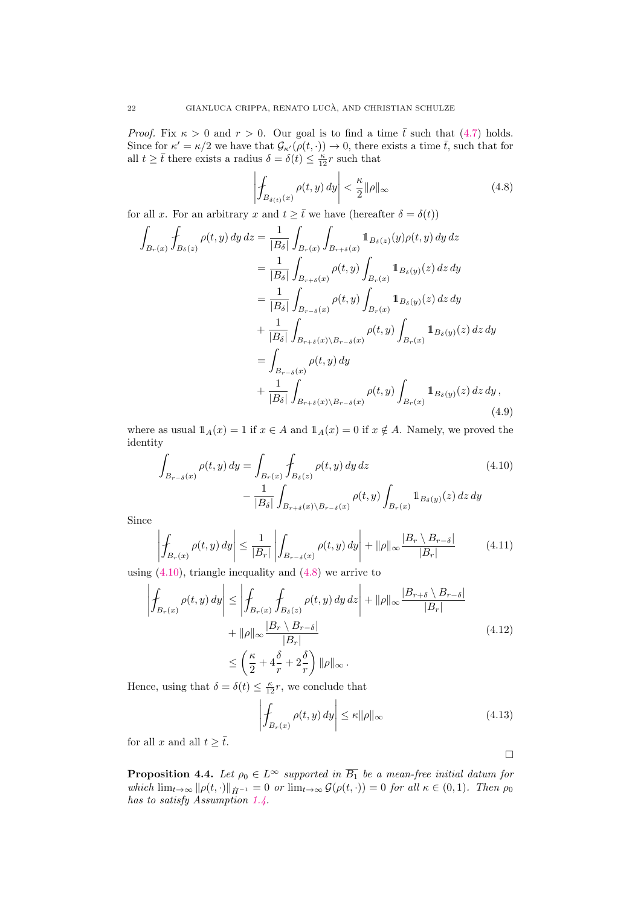*Proof.* Fix  $\kappa > 0$  and  $r > 0$ . Our goal is to find a time  $\bar{t}$  such that [\(4.7\)](#page-20-7) holds. Since for  $\kappa' = \kappa/2$  we have that  $\mathcal{G}_{\kappa'}(\rho(t, \cdot)) \to 0$ , there exists a time  $\bar{t}$ , such that for all  $t \geq \bar{t}$  there exists a radius  $\delta = \delta(t) \leq \frac{\kappa}{12}r$  such that

<span id="page-21-2"></span>
$$
\left| \oint_{B_{\delta(t)}(x)} \rho(t, y) \, dy \right| < \frac{\kappa}{2} \|\rho\|_{\infty} \tag{4.8}
$$

for all x. For an arbitrary x and  $t \geq \overline{t}$  we have (hereafter  $\delta = \delta(t)$ )

$$
\int_{B_r(x)} \int_{B_\delta(z)} \rho(t, y) \, dy \, dz = \frac{1}{|B_\delta|} \int_{B_r(x)} \int_{B_{r+\delta}(x)} 1_{B_\delta(z)}(y) \rho(t, y) \, dy \, dz \n= \frac{1}{|B_\delta|} \int_{B_{r+\delta}(x)} \rho(t, y) \int_{B_r(x)} 1_{B_\delta(y)}(z) \, dz \, dy \n= \frac{1}{|B_\delta|} \int_{B_{r-\delta}(x)} \rho(t, y) \int_{B_r(x)} 1_{B_\delta(y)}(z) \, dz \, dy \n+ \frac{1}{|B_\delta|} \int_{B_{r+\delta}(x) \setminus B_{r-\delta}(x)} \rho(t, y) \int_{B_r(x)} 1_{B_\delta(y)}(z) \, dz \, dy \n= \int_{B_{r-\delta}(x)} \rho(t, y) \, dy \n+ \frac{1}{|B_\delta|} \int_{B_{r+\delta}(x) \setminus B_{r-\delta}(x)} \rho(t, y) \int_{B_r(x)} 1_{B_\delta(y)}(z) \, dz \, dy,
$$
\n(4.9)

where as usual  $1_A(x) = 1$  if  $x \in A$  and  $1_A(x) = 0$  if  $x \notin A$ . Namely, we proved the identity

$$
\int_{B_{r-\delta}(x)} \rho(t,y) \, dy = \int_{B_r(x)} \int_{B_{\delta}(z)} \rho(t,y) \, dy \, dz \tag{4.10}
$$
\n
$$
- \frac{1}{|B_{\delta}|} \int_{B_{r+\delta}(x) \setminus B_{r-\delta}(x)} \rho(t,y) \int_{B_r(x)} \mathbb{1}_{B_{\delta}(y)}(z) \, dz \, dy
$$

Since

$$
\left| \oint_{B_r(x)} \rho(t, y) dy \right| \leq \frac{1}{|B_r|} \left| \int_{B_{r-\delta}(x)} \rho(t, y) dy \right| + ||\rho||_{\infty} \frac{|B_r \setminus B_{r-\delta}|}{|B_r|}
$$
(4.11)

using  $(4.10)$ , triangle inequality and  $(4.8)$  we arrive to

$$
\left| \oint_{B_r(x)} \rho(t, y) dy \right| \le \left| \oint_{B_r(x)} \oint_{B_\delta(z)} \rho(t, y) dy dz \right| + ||\rho||_{\infty} \frac{|B_{r+\delta} \setminus B_{r-\delta}|}{|B_r|} + ||\rho||_{\infty} \frac{|B_r \setminus B_{r-\delta}|}{|B_r|} \tag{4.12}
$$
\n
$$
\le \left( \frac{\kappa}{2} + 4 \frac{\delta}{r} + 2 \frac{\delta}{r} \right) ||\rho||_{\infty}.
$$

Hence, using that  $\delta = \delta(t) \leq \frac{\kappa}{12}r$ , we conclude that

$$
\left| \oint_{B_r(x)} \rho(t, y) \, dy \right| \le \kappa ||\rho||_{\infty} \tag{4.13}
$$

for all x and all  $t \geq \overline{t}$ .

<span id="page-21-1"></span> $\Box$ 

<span id="page-21-0"></span>**Proposition 4.4.** Let  $\rho_0 \in L^{\infty}$  supported in  $\overline{B_1}$  be a mean-free initial datum for which  $\lim_{t\to\infty} ||\rho(t,\cdot)||_{\dot{H}^{-1}} = 0$  or  $\lim_{t\to\infty} \mathcal{G}(\rho(t,\cdot)) = 0$  for all  $\kappa \in (0,1)$ . Then  $\rho_0$ has to satisfy Assumption [1.4.](#page-2-0)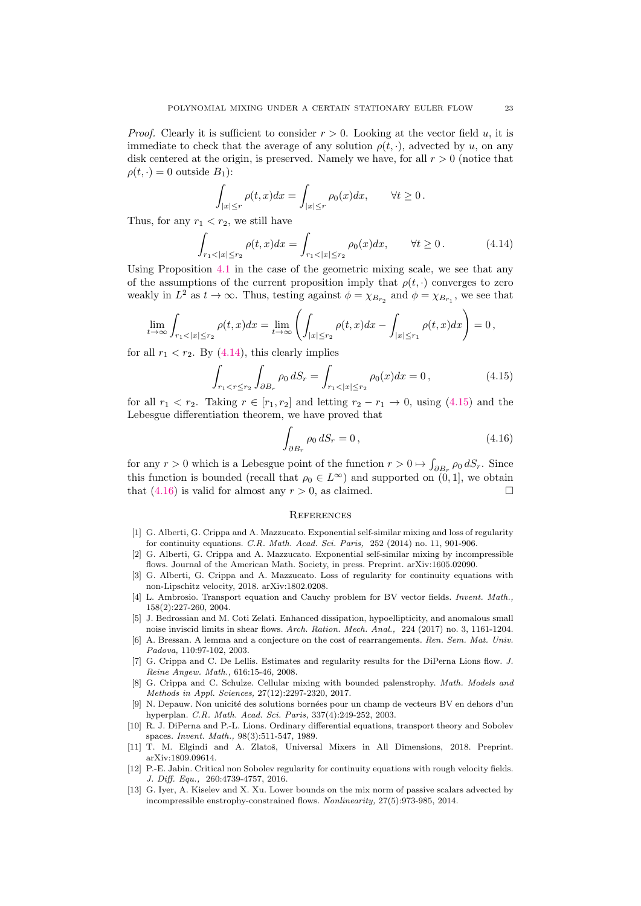*Proof.* Clearly it is sufficient to consider  $r > 0$ . Looking at the vector field u, it is immediate to check that the average of any solution  $\rho(t, \cdot)$ , advected by u, on any disk centered at the origin, is preserved. Namely we have, for all  $r > 0$  (notice that  $\rho(t, \cdot) = 0$  outside  $B_1$ :

$$
\int_{|x| \le r} \rho(t, x) dx = \int_{|x| \le r} \rho_0(x) dx, \qquad \forall t \ge 0.
$$

Thus, for any  $r_1 < r_2$ , we still have

<span id="page-22-10"></span>
$$
\int_{r_1 < |x| \le r_2} \rho(t, x) dx = \int_{r_1 < |x| \le r_2} \rho_0(x) dx, \qquad \forall t \ge 0. \tag{4.14}
$$

Using Proposition [4.1](#page-19-0) in the case of the geometric mixing scale, we see that any of the assumptions of the current proposition imply that  $\rho(t, \cdot)$  converges to zero weakly in  $L^2$  as  $t \to \infty$ . Thus, testing against  $\phi = \chi_{B_{r_2}}$  and  $\phi = \chi_{B_{r_1}}$ , we see that

<span id="page-22-11"></span>
$$
\lim_{t \to \infty} \int_{r_1 < |x| \le r_2} \rho(t, x) dx = \lim_{t \to \infty} \left( \int_{|x| \le r_2} \rho(t, x) dx - \int_{|x| \le r_1} \rho(t, x) dx \right) = 0,
$$

for all  $r_1 < r_2$ . By [\(4.14\)](#page-22-10), this clearly implies

$$
\int_{r_1 < r \le r_2} \int_{\partial B_r} \rho_0 \, dS_r = \int_{r_1 < |x| \le r_2} \rho_0(x) dx = 0 \,, \tag{4.15}
$$

for all  $r_1 < r_2$ . Taking  $r \in [r_1, r_2]$  and letting  $r_2 - r_1 \rightarrow 0$ , using [\(4.15\)](#page-22-11) and the Lebesgue differentiation theorem, we have proved that

<span id="page-22-12"></span>
$$
\int_{\partial B_r} \rho_0 \, dS_r = 0,\tag{4.16}
$$

for any  $r > 0$  which is a Lebesgue point of the function  $r > 0 \mapsto \int_{\partial B_r} \rho_0 dS_r$ . Since this function is bounded (recall that  $\rho_0 \in L^{\infty}$ ) and supported on  $(0, 1]$ , we obtain that [\(4.16\)](#page-22-12) is valid for almost any  $r > 0$ , as claimed.

#### **REFERENCES**

- <span id="page-22-4"></span>[1] G. Alberti, G. Crippa and A. Mazzucato. Exponential self-similar mixing and loss of regularity for continuity equations. C.R. Math. Acad. Sci. Paris, 252 (2014) no. 11, 901-906.
- <span id="page-22-5"></span>[2] G. Alberti, G. Crippa and A. Mazzucato. Exponential self-similar mixing by incompressible flows. Journal of the American Math. Society, in press. Preprint. arXiv:1605.02090.
- <span id="page-22-6"></span>[3] G. Alberti, G. Crippa and A. Mazzucato. Loss of regularity for continuity equations with non-Lipschitz velocity, 2018. arXiv:1802.0208.
- [4] L. Ambrosio. Transport equation and Cauchy problem for BV vector fields. Invent. Math., 158(2):227-260, 2004.
- <span id="page-22-0"></span>[5] J. Bedrossian and M. Coti Zelati. Enhanced dissipation, hypoellipticity, and anomalous small noise inviscid limits in shear flows. Arch. Ration. Mech. Anal., 224 (2017) no. 3, 1161-1204.
- <span id="page-22-1"></span>[6] A. Bressan. A lemma and a conjecture on the cost of rearrangements. Ren. Sem. Mat. Univ. Padova, 110:97-102, 2003.
- <span id="page-22-2"></span>[7] G. Crippa and C. De Lellis. Estimates and regularity results for the DiPerna Lions flow. J. Reine Angew. Math., 616:15-46, 2008.
- <span id="page-22-7"></span>[8] G. Crippa and C. Schulze. Cellular mixing with bounded palenstrophy. Math. Models and Methods in Appl. Sciences, 27(12):2297-2320, 2017.
- <span id="page-22-9"></span>[9] N. Depauw. Non unicité des solutions bornées pour un champ de vecteurs BV en dehors d'un hyperplan. C.R. Math. Acad. Sci. Paris, 337(4):249-252, 2003.
- [10] R. J. DiPerna and P.-L. Lions. Ordinary differential equations, transport theory and Sobolev spaces. Invent. Math., 98(3):511-547, 1989.
- <span id="page-22-8"></span>[11] T. M. Elgindi and A. Zlatoš, Universal Mixers in All Dimensions, 2018. Preprint. arXiv:1809.09614.
- [12] P.-E. Jabin. Critical non Sobolev regularity for continuity equations with rough velocity fields. J. Diff. Equ., 260:4739-4757, 2016.
- <span id="page-22-3"></span>[13] G. Iyer, A. Kiselev and X. Xu. Lower bounds on the mix norm of passive scalars advected by incompressible enstrophy-constrained flows. Nonlinearity, 27(5):973-985, 2014.